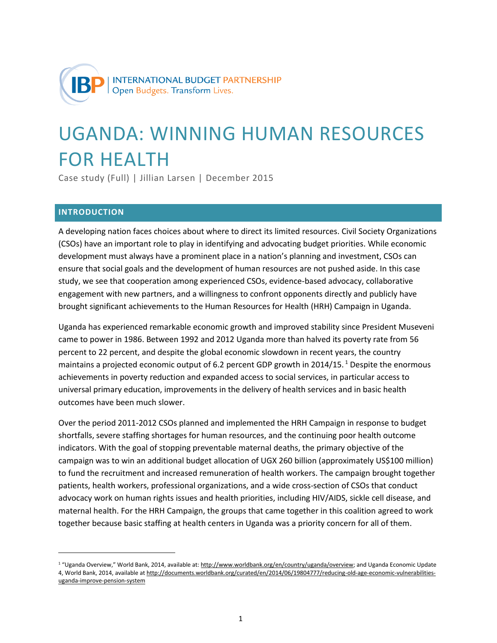

# UGANDA: WINNING HUMAN RESOURCES FOR HEALTH

Case study (Full) | Jillian Larsen | December 2015

# **INTRODUCTION**

l

A developing nation faces choices about where to direct its limited resources. Civil Society Organizations (CSOs) have an important role to play in identifying and advocating budget priorities. While economic development must always have a prominent place in a nation's planning and investment, CSOs can ensure that social goals and the development of human resources are not pushed aside. In this case study, we see that cooperation among experienced CSOs, evidence-based advocacy, collaborative engagement with new partners, and a willingness to confront opponents directly and publicly have brought significant achievements to the Human Resources for Health (HRH) Campaign in Uganda.

Uganda has experienced remarkable economic growth and improved stability since President Museveni came to power in 1986. Between 1992 and 2012 Uganda more than halved its poverty rate from 56 percent to 22 percent, and despite the global economic slowdown in recent years, the country maintains a projected economic output of 6.2 percent GDP growth in  $2014/15$ .<sup>1</sup> Despite the enormous achievements in poverty reduction and expanded access to social services, in particular access to universal primary education, improvements in the delivery of health services and in basic health outcomes have been much slower.

Over the period 2011-2012 CSOs planned and implemented the HRH Campaign in response to budget shortfalls, severe staffing shortages for human resources, and the continuing poor health outcome indicators. With the goal of stopping preventable maternal deaths, the primary objective of the campaign was to win an additional budget allocation of UGX 260 billion (approximately US\$100 million) to fund the recruitment and increased remuneration of health workers. The campaign brought together patients, health workers, professional organizations, and a wide cross-section of CSOs that conduct advocacy work on human rights issues and health priorities, including HIV/AIDS, sickle cell disease, and maternal health. For the HRH Campaign, the groups that came together in this coalition agreed to work together because basic staffing at health centers in Uganda was a priority concern for all of them.

<sup>&</sup>lt;sup>1</sup> "Uganda Overview," World Bank, 2014, available at: [http://www.worldbank.org/en/country/uganda/overview;](http://www.worldbank.org/en/country/uganda/overview) and Uganda Economic Update 4, World Bank, 2014, available a[t http://documents.worldbank.org/curated/en/2014/06/19804777/reducing-old-age-economic-vulnerabilities](http://documents.worldbank.org/curated/en/2014/06/19804777/reducing-old-age-economic-vulnerabilities-uganda-improve-pension-system)[uganda-improve-pension-system](http://documents.worldbank.org/curated/en/2014/06/19804777/reducing-old-age-economic-vulnerabilities-uganda-improve-pension-system)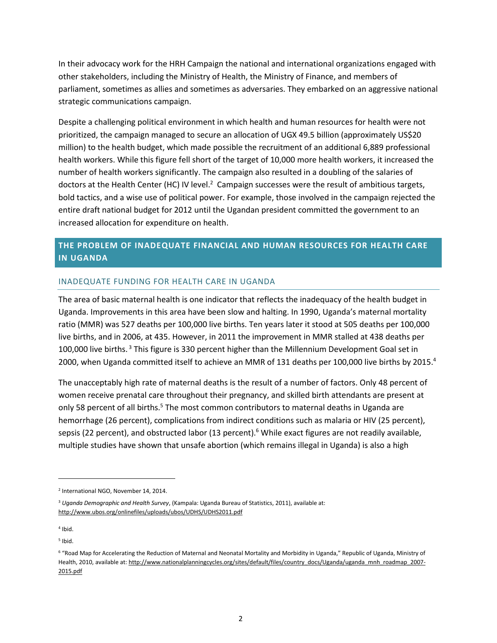In their advocacy work for the HRH Campaign the national and international organizations engaged with other stakeholders, including the Ministry of Health, the Ministry of Finance, and members of parliament, sometimes as allies and sometimes as adversaries. They embarked on an aggressive national strategic communications campaign.

Despite a challenging political environment in which health and human resources for health were not prioritized, the campaign managed to secure an allocation of UGX 49.5 billion (approximately US\$20 million) to the health budget, which made possible the recruitment of an additional 6,889 professional health workers. While this figure fell short of the target of 10,000 more health workers, it increased the number of health workers significantly. The campaign also resulted in a doubling of the salaries of doctors at the Health Center (HC) IV level.<sup>2</sup> Campaign successes were the result of ambitious targets, bold tactics, and a wise use of political power. For example, those involved in the campaign rejected the entire draft national budget for 2012 until the Ugandan president committed the government to an increased allocation for expenditure on health.

# **THE PROBLEM OF INADEQUATE FINANCIAL AND HUMAN RESOURCES FOR HEALTH CARE IN UGANDA**

## INADEQUATE FUNDING FOR HEALTH CARE IN UGANDA

The area of basic maternal health is one indicator that reflects the inadequacy of the health budget in Uganda. Improvements in this area have been slow and halting. In 1990, Uganda's maternal mortality ratio (MMR) was 527 deaths per 100,000 live births. Ten years later it stood at 505 deaths per 100,000 live births, and in 2006, at 435. However, in 2011 the improvement in MMR stalled at 438 deaths per 100,000 live births.<sup>3</sup> This figure is 330 percent higher than the Millennium Development Goal set in 2000, when Uganda committed itself to achieve an MMR of 131 deaths per 100,000 live births by 2015.<sup>4</sup>

The unacceptably high rate of maternal deaths is the result of a number of factors. Only 48 percent of women receive prenatal care throughout their pregnancy, and skilled birth attendants are present at only 58 percent of all births.<sup>5</sup> The most common contributors to maternal deaths in Uganda are hemorrhage (26 percent), complications from indirect conditions such as malaria or HIV (25 percent), sepsis (22 percent), and obstructed labor (13 percent).<sup>6</sup> While exact figures are not readily available, multiple studies have shown that unsafe abortion (which remains illegal in Uganda) is also a high

<sup>2</sup> International NGO, November 14, 2014.

<sup>3</sup> *Uganda Demographic and Health Survey*, (Kampala: Uganda Bureau of Statistics, 2011), available at: <http://www.ubos.org/onlinefiles/uploads/ubos/UDHS/UDHS2011.pdf>

<sup>4</sup> Ibid.

<sup>5</sup> Ibid.

<sup>&</sup>lt;sup>6</sup> "Road Map for Accelerating the Reduction of Maternal and Neonatal Mortality and Morbidity in Uganda," Republic of Uganda, Ministry of Health, 2010, available at: [http://www.nationalplanningcycles.org/sites/default/files/country\\_docs/Uganda/uganda\\_mnh\\_roadmap\\_2007-](http://www.nationalplanningcycles.org/sites/default/files/country_docs/Uganda/uganda_mnh_roadmap_2007-2015.pdf) [2015.pdf](http://www.nationalplanningcycles.org/sites/default/files/country_docs/Uganda/uganda_mnh_roadmap_2007-2015.pdf)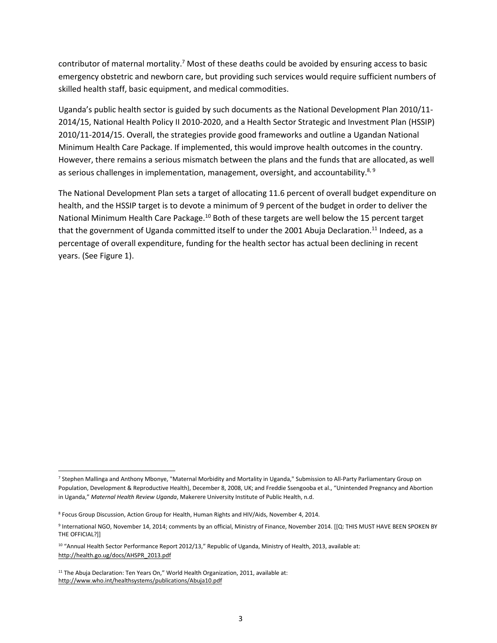contributor of maternal mortality.<sup>7</sup> Most of these deaths could be avoided by ensuring access to basic emergency obstetric and newborn care, but providing such services would require sufficient numbers of skilled health staff, basic equipment, and medical commodities.

Uganda's public health sector is guided by such documents as the National Development Plan 2010/11- 2014/15, National Health Policy II 2010-2020, and a Health Sector Strategic and Investment Plan (HSSIP) 2010/11-2014/15. Overall, the strategies provide good frameworks and outline a Ugandan National Minimum Health Care Package. If implemented, this would improve health outcomes in the country. However, there remains a serious mismatch between the plans and the funds that are allocated, as well as serious challenges in implementation, management, oversight, and accountability. $8,9$ 

The National Development Plan sets a target of allocating 11.6 percent of overall budget expenditure on health, and the HSSIP target is to devote a minimum of 9 percent of the budget in order to deliver the National Minimum Health Care Package.<sup>10</sup> Both of these targets are well below the 15 percent target that the government of Uganda committed itself to under the 2001 Abuja Declaration.<sup>11</sup> Indeed, as a percentage of overall expenditure, funding for the health sector has actual been declining in recent years. (See Figure 1).

<sup>7</sup> Stephen Mallinga and Anthony Mbonye, "Maternal Morbidity and Mortality in Uganda," Submission to All-Party Parliamentary Group on Population, Development & Reproductive Health), December 8, 2008, UK; and Freddie Ssengooba et al., "Unintended Pregnancy and Abortion in Uganda," *Maternal Health Review Uganda*, Makerere University Institute of Public Health, n.d.

<sup>&</sup>lt;sup>8</sup> Focus Group Discussion, Action Group for Health, Human Rights and HIV/Aids, November 4, 2014.

<sup>&</sup>lt;sup>9</sup> International NGO, November 14, 2014; comments by an official, Ministry of Finance, November 2014. [[Q: THIS MUST HAVE BEEN SPOKEN BY THE OFFICIAL?]]

<sup>&</sup>lt;sup>10</sup> "Annual Health Sector Performance Report 2012/13," Republic of Uganda, Ministry of Health, 2013, available at: [http://health.go.ug/docs/AHSPR\\_2013.pdf](http://health.go.ug/docs/AHSPR_2013.pdf) 

<sup>&</sup>lt;sup>11</sup> The Abuja Declaration: Ten Years On," World Health Organization, 2011, available at: <http://www.who.int/healthsystems/publications/Abuja10.pdf>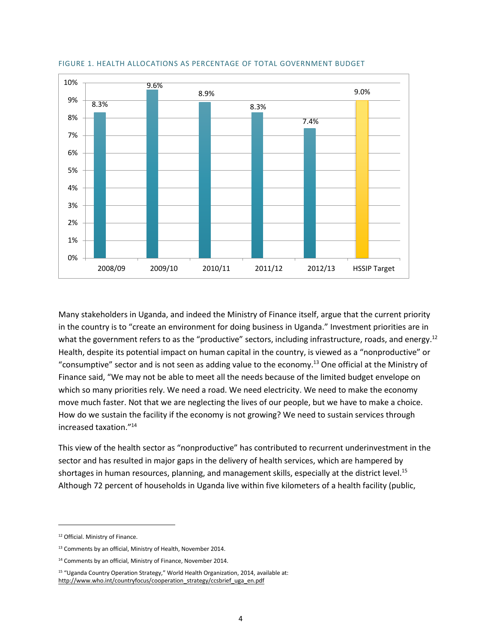

#### FIGURE 1. HEALTH ALLOCATIONS AS PERCENTAGE OF TOTAL GOVERNMENT BUDGET

Many stakeholders in Uganda, and indeed the Ministry of Finance itself, argue that the current priority in the country is to "create an environment for doing business in Uganda." Investment priorities are in what the government refers to as the "productive" sectors, including infrastructure, roads, and energy.<sup>12</sup> Health, despite its potential impact on human capital in the country, is viewed as a "nonproductive" or "consumptive" sector and is not seen as adding value to the economy.<sup>13</sup> One official at the Ministry of Finance said, "We may not be able to meet all the needs because of the limited budget envelope on which so many priorities rely. We need a road. We need electricity. We need to make the economy move much faster. Not that we are neglecting the lives of our people, but we have to make a choice. How do we sustain the facility if the economy is not growing? We need to sustain services through increased taxation."<sup>14</sup>

This view of the health sector as "nonproductive" has contributed to recurrent underinvestment in the sector and has resulted in major gaps in the delivery of health services, which are hampered by shortages in human resources, planning, and management skills, especially at the district level.<sup>15</sup> Although 72 percent of households in Uganda live within five kilometers of a health facility (public,

<sup>12</sup> Official. Ministry of Finance.

<sup>&</sup>lt;sup>13</sup> Comments by an official, Ministry of Health, November 2014.

<sup>&</sup>lt;sup>14</sup> Comments by an official, Ministry of Finance, November 2014.

<sup>15</sup> "Uganda Country Operation Strategy," World Health Organization, 2014, available at: [http://www.who.int/countryfocus/cooperation\\_strategy/ccsbrief\\_uga\\_en.pdf](http://www.who.int/countryfocus/cooperation_strategy/ccsbrief_uga_en.pdf)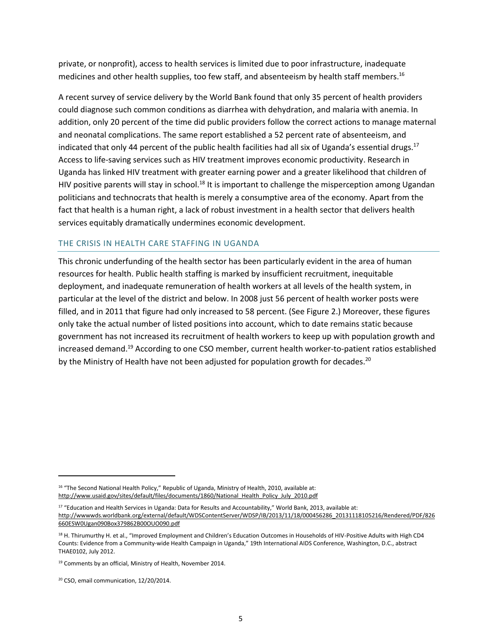private, or nonprofit), access to health services is limited due to poor infrastructure, inadequate medicines and other health supplies, too few staff, and absenteeism by health staff members.<sup>16</sup>

A recent survey of service delivery by the World Bank found that only 35 percent of health providers could diagnose such common conditions as diarrhea with dehydration, and malaria with anemia. In addition, only 20 percent of the time did public providers follow the correct actions to manage maternal and neonatal complications. The same report established a 52 percent rate of absenteeism, and indicated that only 44 percent of the public health facilities had all six of Uganda's essential drugs.<sup>17</sup> Access to life-saving services such as HIV treatment improves economic productivity. Research in Uganda has linked HIV treatment with greater earning power and a greater likelihood that children of HIV positive parents will stay in school.<sup>18</sup> It is important to challenge the misperception among Ugandan politicians and technocrats that health is merely a consumptive area of the economy. Apart from the fact that health is a human right, a lack of robust investment in a health sector that delivers health services equitably dramatically undermines economic development.

## THE CRISIS IN HEALTH CARE STAFFING IN UGANDA

This chronic underfunding of the health sector has been particularly evident in the area of human resources for health. Public health staffing is marked by insufficient recruitment, inequitable deployment, and inadequate remuneration of health workers at all levels of the health system, in particular at the level of the district and below. In 2008 just 56 percent of health worker posts were filled, and in 2011 that figure had only increased to 58 percent. (See Figure 2.) Moreover, these figures only take the actual number of listed positions into account, which to date remains static because government has not increased its recruitment of health workers to keep up with population growth and increased demand.<sup>19</sup> According to one CSO member, current health worker-to-patient ratios established by the Ministry of Health have not been adjusted for population growth for decades.<sup>20</sup>

<sup>&</sup>lt;sup>16</sup> "The Second National Health Policy," Republic of Uganda, Ministry of Health, 2010, available at: http://www.usaid.gov/sites/default/files/documents/1860/National\_Health\_Policy\_July\_2010.pdf

<sup>17</sup> "Education and Health Services in Uganda: Data for Results and Accountability," World Bank, 2013, available at: [http://wwwwds.worldbank.org/external/default/WDSContentServer/WDSP/IB/2013/11/18/000456286\\_20131118105216/Rendered/PDF/826](http://wwwwds.worldbank.org/external/default/WDSContentServer/WDSP/IB/2013/11/18/000456286_20131118105216/Rendered/PDF/826660ESW0Ugan090Box379862B00OUO090.pdf) [660ESW0Ugan090Box379862B00OUO090.pdf](http://wwwwds.worldbank.org/external/default/WDSContentServer/WDSP/IB/2013/11/18/000456286_20131118105216/Rendered/PDF/826660ESW0Ugan090Box379862B00OUO090.pdf) 

<sup>18</sup> H. Thirumurthy H. et al., "Improved Employment and Children's Education Outcomes in Households of HIV-Positive Adults with High CD4 Counts: Evidence from a Community-wide Health Campaign in Uganda," 19th International AIDS Conference, Washington, D.C., abstract THAE0102, July 2012.

<sup>&</sup>lt;sup>19</sup> Comments by an official, Ministry of Health, November 2014.

<sup>20</sup> CSO, email communication, 12/20/2014.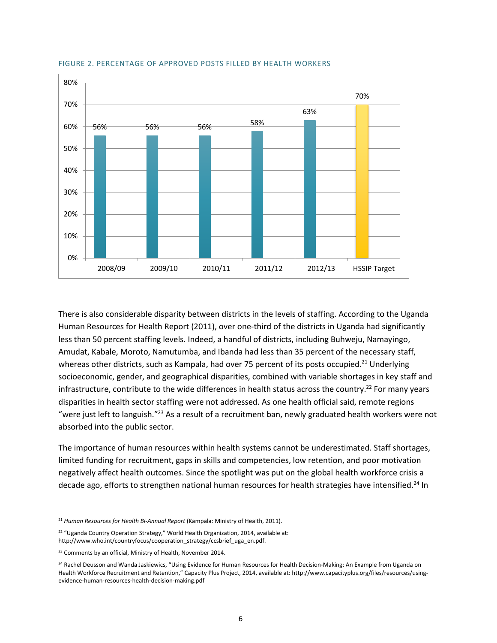

#### FIGURE 2. PERCENTAGE OF APPROVED POSTS FILLED BY HEALTH WORKERS

There is also considerable disparity between districts in the levels of staffing. According to the Uganda Human Resources for Health Report (2011), over one-third of the districts in Uganda had significantly less than 50 percent staffing levels. Indeed, a handful of districts, including Buhweju, Namayingo, Amudat, Kabale, Moroto, Namutumba, and Ibanda had less than 35 percent of the necessary staff, whereas other districts, such as Kampala, had over 75 percent of its posts occupied.<sup>21</sup> Underlying socioeconomic, gender, and geographical disparities, combined with variable shortages in key staff and infrastructure, contribute to the wide differences in health status across the country.<sup>22</sup> For many years disparities in health sector staffing were not addressed. As one health official said, remote regions "were just left to languish."<sup>23</sup> As a result of a recruitment ban, newly graduated health workers were not absorbed into the public sector.

The importance of human resources within health systems cannot be underestimated. Staff shortages, limited funding for recruitment, gaps in skills and competencies, low retention, and poor motivation negatively affect health outcomes. Since the spotlight was put on the global health workforce crisis a decade ago, efforts to strengthen national human resources for health strategies have intensified.<sup>24</sup> In

<sup>21</sup> *Human Resources for Health Bi-Annual Report* (Kampala: Ministry of Health, 2011).

<sup>&</sup>lt;sup>22</sup> "Uganda Country Operation Strategy," World Health Organization, 2014, available at: http://www.who.int/countryfocus/cooperation\_strategy/ccsbrief\_uga\_en.pdf.

<sup>&</sup>lt;sup>23</sup> Comments by an official, Ministry of Health, November 2014.

<sup>&</sup>lt;sup>24</sup> Rachel Deusson and Wanda Jaskiewics, "Using Evidence for Human Resources for Health Decision-Making: An Example from Uganda on Health Workforce Recruitment and Retention," Capacity Plus Project, 2014, available at: [http://www.capacityplus.org/files/resources/using](http://www.capacityplus.org/files/resources/using-evidence-human-resources-health-decision-making.pdf)[evidence-human-resources-health-decision-making.pdf](http://www.capacityplus.org/files/resources/using-evidence-human-resources-health-decision-making.pdf)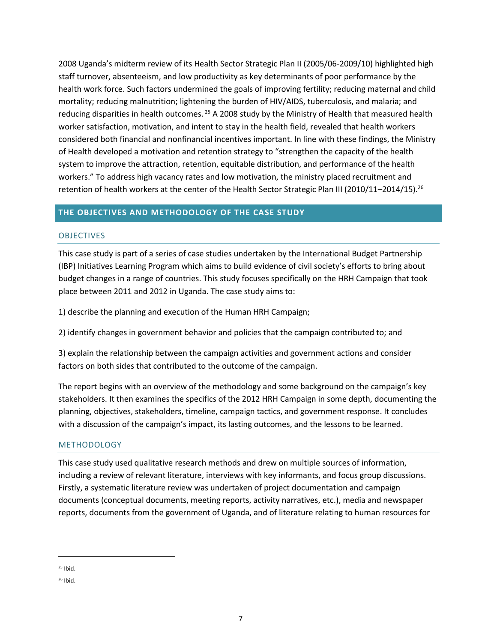2008 Uganda's midterm review of its Health Sector Strategic Plan II (2005/06-2009/10) highlighted high staff turnover, absenteeism, and low productivity as key determinants of poor performance by the health work force. Such factors undermined the goals of improving fertility; reducing maternal and child mortality; reducing malnutrition; lightening the burden of HIV/AIDS, tuberculosis, and malaria; and reducing disparities in health outcomes. <sup>25</sup> A 2008 study by the Ministry of Health that measured health worker satisfaction, motivation, and intent to stay in the health field, revealed that health workers considered both financial and nonfinancial incentives important. In line with these findings, the Ministry of Health developed a motivation and retention strategy to "strengthen the capacity of the health system to improve the attraction, retention, equitable distribution, and performance of the health workers." To address high vacancy rates and low motivation, the ministry placed recruitment and retention of health workers at the center of the Health Sector Strategic Plan III (2010/11–2014/15).<sup>26</sup>

## **THE OBJECTIVES AND METHODOLOGY OF THE CASE STUDY**

## **OBJECTIVES**

This case study is part of a series of case studies undertaken by the International Budget Partnership (IBP) Initiatives Learning Program which aims to build evidence of civil society's efforts to bring about budget changes in a range of countries. This study focuses specifically on the HRH Campaign that took place between 2011 and 2012 in Uganda. The case study aims to:

1) describe the planning and execution of the Human HRH Campaign;

2) identify changes in government behavior and policies that the campaign contributed to; and

3) explain the relationship between the campaign activities and government actions and consider factors on both sides that contributed to the outcome of the campaign.

The report begins with an overview of the methodology and some background on the campaign's key stakeholders. It then examines the specifics of the 2012 HRH Campaign in some depth, documenting the planning, objectives, stakeholders, timeline, campaign tactics, and government response. It concludes with a discussion of the campaign's impact, its lasting outcomes, and the lessons to be learned.

## **METHODOLOGY**

This case study used qualitative research methods and drew on multiple sources of information, including a review of relevant literature, interviews with key informants, and focus group discussions. Firstly, a systematic literature review was undertaken of project documentation and campaign documents (conceptual documents, meeting reports, activity narratives, etc.), media and newspaper reports, documents from the government of Uganda, and of literature relating to human resources for

 $25$  Ibid.

<sup>26</sup> Ibid.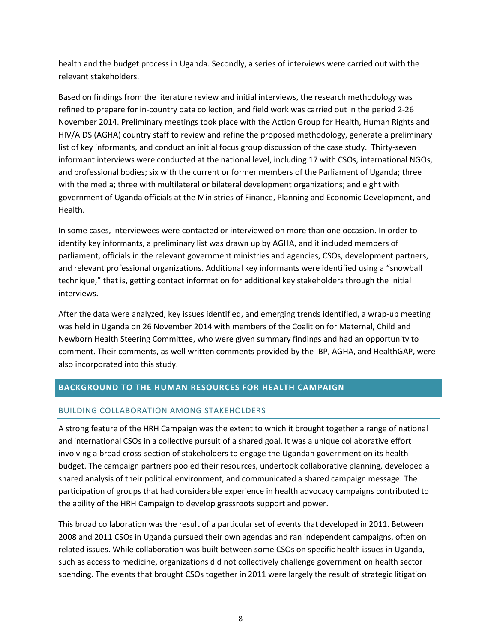health and the budget process in Uganda. Secondly, a series of interviews were carried out with the relevant stakeholders.

Based on findings from the literature review and initial interviews, the research methodology was refined to prepare for in-country data collection, and field work was carried out in the period 2-26 November 2014. Preliminary meetings took place with the Action Group for Health, Human Rights and HIV/AIDS (AGHA) country staff to review and refine the proposed methodology, generate a preliminary list of key informants, and conduct an initial focus group discussion of the case study. Thirty-seven informant interviews were conducted at the national level, including 17 with CSOs, international NGOs, and professional bodies; six with the current or former members of the Parliament of Uganda; three with the media; three with multilateral or bilateral development organizations; and eight with government of Uganda officials at the Ministries of Finance, Planning and Economic Development, and Health.

In some cases, interviewees were contacted or interviewed on more than one occasion. In order to identify key informants, a preliminary list was drawn up by AGHA, and it included members of parliament, officials in the relevant government ministries and agencies, CSOs, development partners, and relevant professional organizations. Additional key informants were identified using a "snowball technique," that is, getting contact information for additional key stakeholders through the initial interviews.

After the data were analyzed, key issues identified, and emerging trends identified, a wrap-up meeting was held in Uganda on 26 November 2014 with members of the Coalition for Maternal, Child and Newborn Health Steering Committee, who were given summary findings and had an opportunity to comment. Their comments, as well written comments provided by the IBP, AGHA, and HealthGAP, were also incorporated into this study.

# **BACKGROUND TO THE HUMAN RESOURCES FOR HEALTH CAMPAIGN**

## BUILDING COLLABORATION AMONG STAKEHOLDERS

A strong feature of the HRH Campaign was the extent to which it brought together a range of national and international CSOs in a collective pursuit of a shared goal. It was a unique collaborative effort involving a broad cross-section of stakeholders to engage the Ugandan government on its health budget. The campaign partners pooled their resources, undertook collaborative planning, developed a shared analysis of their political environment, and communicated a shared campaign message. The participation of groups that had considerable experience in health advocacy campaigns contributed to the ability of the HRH Campaign to develop grassroots support and power.

This broad collaboration was the result of a particular set of events that developed in 2011. Between 2008 and 2011 CSOs in Uganda pursued their own agendas and ran independent campaigns, often on related issues. While collaboration was built between some CSOs on specific health issues in Uganda, such as access to medicine, organizations did not collectively challenge government on health sector spending. The events that brought CSOs together in 2011 were largely the result of strategic litigation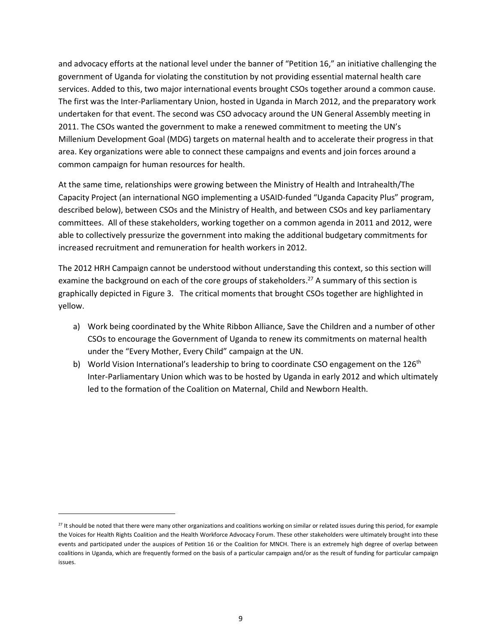and advocacy efforts at the national level under the banner of "Petition 16," an initiative challenging the government of Uganda for violating the constitution by not providing essential maternal health care services. Added to this, two major international events brought CSOs together around a common cause. The first was the Inter-Parliamentary Union, hosted in Uganda in March 2012, and the preparatory work undertaken for that event. The second was CSO advocacy around the UN General Assembly meeting in 2011. The CSOs wanted the government to make a renewed commitment to meeting the UN's Millenium Development Goal (MDG) targets on maternal health and to accelerate their progress in that area. Key organizations were able to connect these campaigns and events and join forces around a common campaign for human resources for health.

At the same time, relationships were growing between the Ministry of Health and Intrahealth/The Capacity Project (an international NGO implementing a USAID-funded "Uganda Capacity Plus" program, described below), between CSOs and the Ministry of Health, and between CSOs and key parliamentary committees. All of these stakeholders, working together on a common agenda in 2011 and 2012, were able to collectively pressurize the government into making the additional budgetary commitments for increased recruitment and remuneration for health workers in 2012.

The 2012 HRH Campaign cannot be understood without understanding this context, so this section will examine the background on each of the core groups of stakeholders.<sup>27</sup> A summary of this section is graphically depicted in Figure 3. The critical moments that brought CSOs together are highlighted in yellow.

- a) Work being coordinated by the White Ribbon Alliance, Save the Children and a number of other CSOs to encourage the Government of Uganda to renew its commitments on maternal health under the "Every Mother, Every Child" campaign at the UN.
- b) World Vision International's leadership to bring to coordinate CSO engagement on the 126<sup>th</sup> Inter-Parliamentary Union which was to be hosted by Uganda in early 2012 and which ultimately led to the formation of the Coalition on Maternal, Child and Newborn Health.

 $27$  It should be noted that there were many other organizations and coalitions working on similar or related issues during this period, for example the Voices for Health Rights Coalition and the Health Workforce Advocacy Forum. These other stakeholders were ultimately brought into these events and participated under the auspices of Petition 16 or the Coalition for MNCH. There is an extremely high degree of overlap between coalitions in Uganda, which are frequently formed on the basis of a particular campaign and/or as the result of funding for particular campaign issues.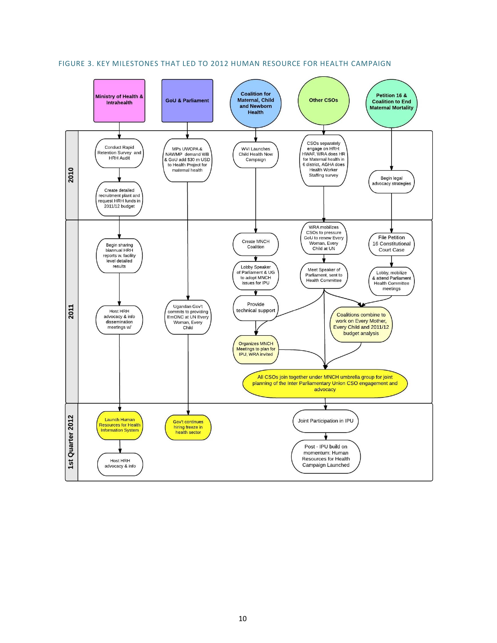

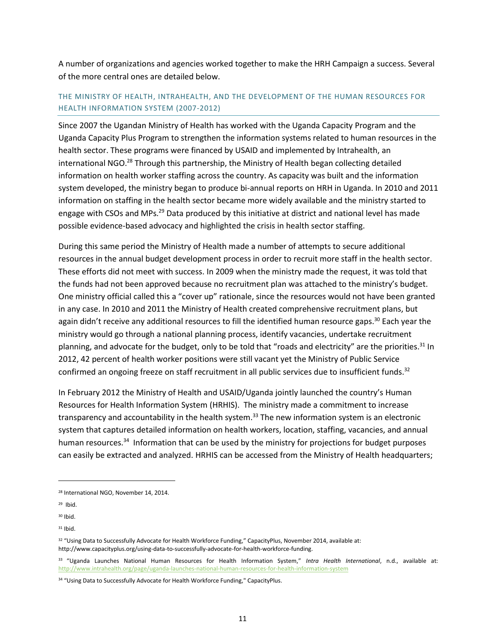A number of organizations and agencies worked together to make the HRH Campaign a success. Several of the more central ones are detailed below.

# THE MINISTRY OF HEALTH, INTRAHEALTH, AND THE DEVELOPMENT OF THE HUMAN RESOURCES FOR HEALTH INFORMATION SYSTEM (2007-2012)

Since 2007 the Ugandan Ministry of Health has worked with the Uganda Capacity Program and the Uganda Capacity Plus Program to strengthen the information systems related to human resources in the health sector. These programs were financed by USAID and implemented by Intrahealth, an international NGO.<sup>28</sup> Through this partnership, the Ministry of Health began collecting detailed information on health worker staffing across the country. As capacity was built and the information system developed, the ministry began to produce bi-annual reports on HRH in Uganda. In 2010 and 2011 information on staffing in the health sector became more widely available and the ministry started to engage with CSOs and MPs.<sup>29</sup> Data produced by this initiative at district and national level has made possible evidence-based advocacy and highlighted the crisis in health sector staffing.

During this same period the Ministry of Health made a number of attempts to secure additional resources in the annual budget development process in order to recruit more staff in the health sector. These efforts did not meet with success. In 2009 when the ministry made the request, it was told that the funds had not been approved because no recruitment plan was attached to the ministry's budget. One ministry official called this a "cover up" rationale, since the resources would not have been granted in any case. In 2010 and 2011 the Ministry of Health created comprehensive recruitment plans, but again didn't receive any additional resources to fill the identified human resource gaps.<sup>30</sup> Each year the ministry would go through a national planning process, identify vacancies, undertake recruitment planning, and advocate for the budget, only to be told that "roads and electricity" are the priorities.<sup>31</sup> In 2012, 42 percent of health worker positions were still vacant yet the Ministry of Public Service confirmed an ongoing freeze on staff recruitment in all public services due to insufficient funds.<sup>32</sup>

In February 2012 the Ministry of Health and USAID/Uganda jointly launched the country's Human Resources for Health Information System (HRHIS). The ministry made a commitment to increase transparency and accountability in the health system.<sup>33</sup> The new information system is an electronic system that captures detailed information on health workers, location, staffing, vacancies, and annual human resources.<sup>34</sup> Information that can be used by the ministry for projections for budget purposes can easily be extracted and analyzed. HRHIS can be accessed from the Ministry of Health headquarters;

<sup>28</sup> International NGO, November 14, 2014.

 $29$  Ibid.

 $30$  Ibid.

<sup>31</sup> Ibid.

<sup>32 &</sup>quot;Using Data to Successfully Advocate for Health Workforce Funding," CapacityPlus, November 2014, available at: http://www.capacityplus.org/using-data-to-successfully-advocate-for-health-workforce-funding.

<sup>33</sup> "Uganda Launches National Human Resources for Health Information System," *Intra Health International*, n.d., available at: <http://www.intrahealth.org/page/uganda-launches-national-human-resources-for-health-information-system>

<sup>34 &</sup>quot;Using Data to Successfully Advocate for Health Workforce Funding," CapacityPlus.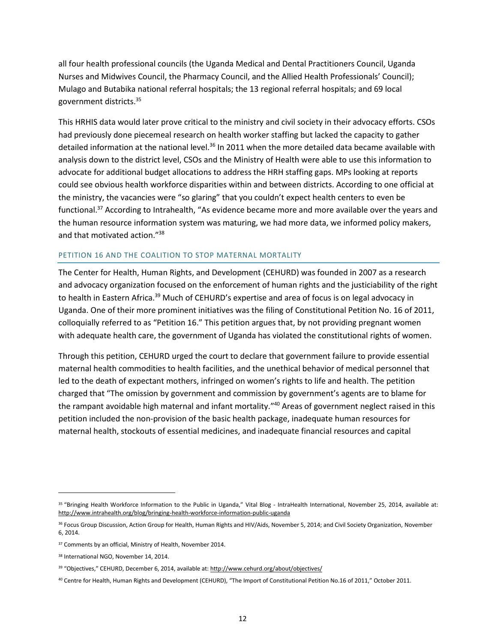all four health professional councils (the Uganda Medical and Dental Practitioners Council, Uganda Nurses and Midwives Council, the Pharmacy Council, and the Allied Health Professionals' Council); Mulago and Butabika national referral hospitals; the 13 regional referral hospitals; and 69 local government districts.<sup>35</sup>

This HRHIS data would later prove critical to the ministry and civil society in their advocacy efforts. CSOs had previously done piecemeal research on health worker staffing but lacked the capacity to gather detailed information at the national level.<sup>36</sup> In 2011 when the more detailed data became available with analysis down to the district level, CSOs and the Ministry of Health were able to use this information to advocate for additional budget allocations to address the HRH staffing gaps. MPs looking at reports could see obvious health workforce disparities within and between districts. According to one official at the ministry, the vacancies were "so glaring" that you couldn't expect health centers to even be functional.<sup>37</sup> According to Intrahealth, "As evidence became more and more available over the years and the human resource information system was maturing, we had more data, we informed policy makers, and that motivated action."<sup>38</sup>

## PETITION 16 AND THE COALITION TO STOP MATERNAL MORTALITY

The Center for Health, Human Rights, and Development (CEHURD) was founded in 2007 as a research and advocacy organization focused on the enforcement of human rights and the justiciability of the right to health in Eastern Africa.<sup>39</sup> Much of CEHURD's expertise and area of focus is on legal advocacy in Uganda. One of their more prominent initiatives was the filing of Constitutional Petition No. 16 of 2011, colloquially referred to as "Petition 16." This petition argues that, by not providing pregnant women with adequate health care, the government of Uganda has violated the constitutional rights of women.

Through this petition, CEHURD urged the court to declare that government failure to provide essential maternal health commodities to health facilities, and the unethical behavior of medical personnel that led to the death of expectant mothers, infringed on women's rights to life and health. The petition charged that "The omission by government and commission by government's agents are to blame for the rampant avoidable high maternal and infant mortality."<sup>40</sup> Areas of government neglect raised in this petition included the non-provision of the basic health package, inadequate human resources for maternal health, stockouts of essential medicines, and inadequate financial resources and capital

<sup>&</sup>lt;sup>35</sup> "Bringing Health Workforce Information to the Public in Uganda," Vital Blog - IntraHealth International, November 25, 2014, available at: <http://www.intrahealth.org/blog/bringing-health-workforce-information-public-uganda>

<sup>&</sup>lt;sup>36</sup> Focus Group Discussion, Action Group for Health, Human Rights and HIV/Aids, November 5, 2014; and Civil Society Organization, November 6, 2014.

<sup>&</sup>lt;sup>37</sup> Comments by an official, Ministry of Health, November 2014.

<sup>38</sup> International NGO, November 14, 2014.

<sup>&</sup>lt;sup>39</sup> "Objectives," CEHURD, December 6, 2014, available at: http://www.cehurd.org/about/objectives/

<sup>40</sup> Centre for Health, Human Rights and Development (CEHURD), "The Import of Constitutional Petition No.16 of 2011," October 2011.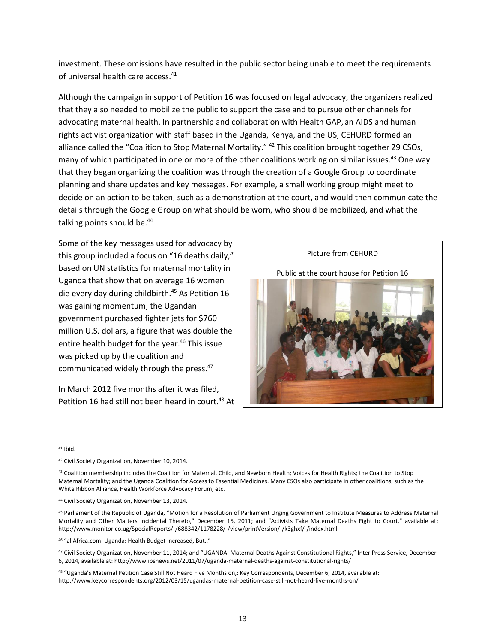investment. These omissions have resulted in the public sector being unable to meet the requirements of universal health care access.<sup>41</sup>

Although the campaign in support of Petition 16 was focused on legal advocacy, the organizers realized that they also needed to mobilize the public to support the case and to pursue other channels for advocating maternal health. In partnership and collaboration with Health GAP, an AIDS and human rights activist organization with staff based in the Uganda, Kenya, and the US, CEHURD formed an alliance called the "Coalition to Stop Maternal Mortality." <sup>42</sup> This coalition brought together 29 CSOs, many of which participated in one or more of the other coalitions working on similar issues.<sup>43</sup> One way that they began organizing the coalition was through the creation of a Google Group to coordinate planning and share updates and key messages. For example, a small working group might meet to decide on an action to be taken, such as a demonstration at the court, and would then communicate the details through the Google Group on what should be worn, who should be mobilized, and what the talking points should be.<sup>44</sup>

Some of the key messages used for advocacy by this group included a focus on "16 deaths daily," based on UN statistics for maternal mortality in Uganda that show that on average 16 women die every day during childbirth.<sup>45</sup> As Petition 16 was gaining momentum, the Ugandan government purchased fighter jets for \$760 million U.S. dollars, a figure that was double the entire health budget for the year.<sup>46</sup> This issue was picked up by the coalition and communicated widely through the press.<sup>47</sup>

In March 2012 five months after it was filed, Petition 16 had still not been heard in court.<sup>48</sup> At

Picture from CEHURD Public at the court house for Petition 16

 $41$  Ibid.

<sup>&</sup>lt;sup>42</sup> Civil Society Organization, November 10, 2014.

<sup>43</sup> Coalition membership includes the Coalition for Maternal, Child, and Newborn Health; Voices for Health Rights; the Coalition to Stop Maternal Mortality; and the Uganda Coalition for Access to Essential Medicines. Many CSOs also participate in other coalitions, such as the White Ribbon Alliance, Health Workforce Advocacy Forum, etc.

<sup>44</sup> Civil Society Organization, November 13, 2014.

<sup>45</sup> Parliament of the Republic of Uganda, "Motion for a Resolution of Parliament Urging Government to Institute Measures to Address Maternal Mortality and Other Matters Incidental Thereto," December 15, 2011; and "Activists Take Maternal Deaths Fight to Court," available at: <http://www.monitor.co.ug/SpecialReports/-/688342/1178228/-/view/printVersion/-/k3ghxf/-/index.html>

<sup>46</sup> "allAfrica.com: Uganda: Health Budget Increased, But.."

<sup>47</sup> Civil Society Organization, November 11, 2014; and "UGANDA: Maternal Deaths Against Constitutional Rights," Inter Press Service, December 6, 2014, available at[: http://www.ipsnews.net/2011/07/uganda-maternal-deaths-against-constitutional-rights/](http://www.ipsnews.net/2011/07/uganda-maternal-deaths-against-constitutional-rights/) 

<sup>48</sup> "Uganda's Maternal Petition Case Still Not Heard Five Months on,: Key Correspondents, December 6, 2014, available at: <http://www.keycorrespondents.org/2012/03/15/ugandas-maternal-petition-case-still-not-heard-five-months-on/>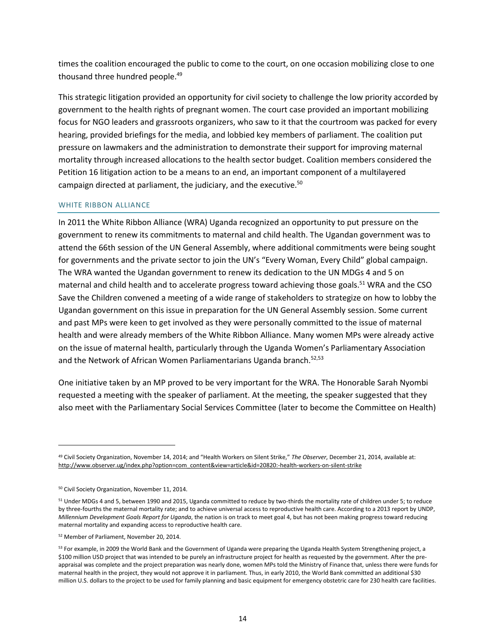times the coalition encouraged the public to come to the court, on one occasion mobilizing close to one thousand three hundred people.<sup>49</sup>

This strategic litigation provided an opportunity for civil society to challenge the low priority accorded by government to the health rights of pregnant women. The court case provided an important mobilizing focus for NGO leaders and grassroots organizers, who saw to it that the courtroom was packed for every hearing, provided briefings for the media, and lobbied key members of parliament. The coalition put pressure on lawmakers and the administration to demonstrate their support for improving maternal mortality through increased allocations to the health sector budget. Coalition members considered the Petition 16 litigation action to be a means to an end, an important component of a multilayered campaign directed at parliament, the judiciary, and the executive.<sup>50</sup>

## WHITE RIBBON ALLIANCE

In 2011 the White Ribbon Alliance (WRA) Uganda recognized an opportunity to put pressure on the government to renew its commitments to maternal and child health. The Ugandan government was to attend the 66th session of the UN General Assembly, where additional commitments were being sought for governments and the private sector to join the UN's "Every Woman, Every Child" global campaign. The WRA wanted the Ugandan government to renew its dedication to the UN MDGs 4 and 5 on maternal and child health and to accelerate progress toward achieving those goals.<sup>51</sup> WRA and the CSO Save the Children convened a meeting of a wide range of stakeholders to strategize on how to lobby the Ugandan government on this issue in preparation for the UN General Assembly session. Some current and past MPs were keen to get involved as they were personally committed to the issue of maternal health and were already members of the White Ribbon Alliance. Many women MPs were already active on the issue of maternal health, particularly through the Uganda Women's Parliamentary Association and the Network of African Women Parliamentarians Uganda branch.<sup>52,53</sup>

One initiative taken by an MP proved to be very important for the WRA. The Honorable Sarah Nyombi requested a meeting with the speaker of parliament. At the meeting, the speaker suggested that they also meet with the Parliamentary Social Services Committee (later to become the Committee on Health)

<sup>49</sup> Civil Society Organization, November 14, 2014; and "Health Workers on Silent Strike," *The Observer*, December 21, 2014, available at: [http://www.observer.ug/index.php?option=com\\_content&view=article&id=20820:-health-workers-on-silent-strike](http://www.observer.ug/index.php?option=com_content&view=article&id=20820:-health-workers-on-silent-strike) 

<sup>50</sup> Civil Society Organization, November 11, 2014.

<sup>51</sup> Under MDGs 4 and 5, between 1990 and 2015, Uganda committed to reduce by two-thirds the mortality rate of children under 5; to reduce by three-fourths the maternal mortality rate; and to achieve universal access to reproductive health care. According to a 2013 report by UNDP, *Millennium Development Goals Report for Uganda*, the nation is on track to meet goal 4, but has not been making progress toward reducing maternal mortality and expanding access to reproductive health care.

<sup>52</sup> Member of Parliament, November 20, 2014.

<sup>&</sup>lt;sup>53</sup> For example, in 2009 the World Bank and the Government of Uganda were preparing the Uganda Health System Strengthening project, a \$100 million USD project that was intended to be purely an infrastructure project for health as requested by the government. After the preappraisal was complete and the project preparation was nearly done, women MPs told the Ministry of Finance that, unless there were funds for maternal health in the project, they would not approve it in parliament. Thus, in early 2010, the World Bank committed an additional \$30 million U.S. dollars to the project to be used for family planning and basic equipment for emergency obstetric care for 230 health care facilities.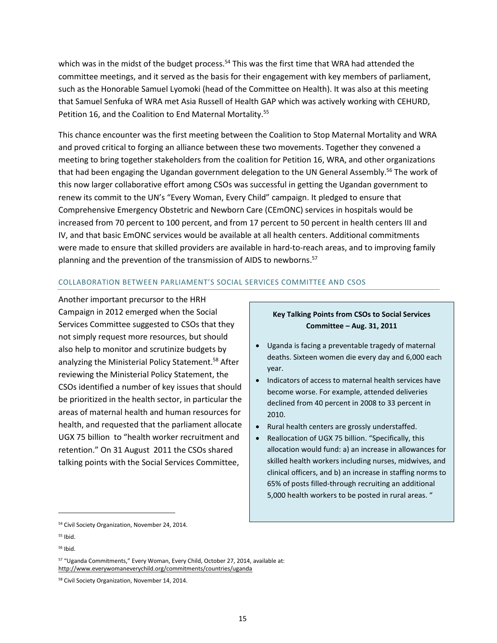which was in the midst of the budget process.<sup>54</sup> This was the first time that WRA had attended the committee meetings, and it served as the basis for their engagement with key members of parliament, such as the Honorable Samuel Lyomoki (head of the Committee on Health). It was also at this meeting that Samuel Senfuka of WRA met Asia Russell of Health GAP which was actively working with CEHURD, Petition 16, and the Coalition to End Maternal Mortality.<sup>55</sup>

This chance encounter was the first meeting between the Coalition to Stop Maternal Mortality and WRA and proved critical to forging an alliance between these two movements. Together they convened a meeting to bring together stakeholders from the coalition for Petition 16, WRA, and other organizations that had been engaging the Ugandan government delegation to the UN General Assembly.<sup>56</sup> The work of this now larger collaborative effort among CSOs was successful in getting the Ugandan government to renew its commit to the UN's "Every Woman, Every Child" campaign. It pledged to ensure that Comprehensive Emergency Obstetric and Newborn Care (CEmONC) services in hospitals would be increased from 70 percent to 100 percent, and from 17 percent to 50 percent in health centers III and IV, and that basic EmONC services would be available at all health centers. Additional commitments were made to ensure that skilled providers are available in hard-to-reach areas, and to improving family planning and the prevention of the transmission of AIDS to newborns.<sup>57</sup>

## COLLABORATION BETWEEN PARLIAMENT'S SOCIAL SERVICES COMMITTEE AND CSOS

Another important precursor to the HRH Campaign in 2012 emerged when the Social Services Committee suggested to CSOs that they not simply request more resources, but should also help to monitor and scrutinize budgets by analyzing the Ministerial Policy Statement.<sup>58</sup> After reviewing the Ministerial Policy Statement, the CSOs identified a number of key issues that should be prioritized in the health sector, in particular the areas of maternal health and human resources for health, and requested that the parliament allocate UGX 75 billion to "health worker recruitment and retention." On 31 August 2011 the CSOs shared talking points with the Social Services Committee,

## **Key Talking Points from CSOs to Social Services Committee – Aug. 31, 2011**

- Uganda is facing a preventable tragedy of maternal deaths. Sixteen women die every day and 6,000 each year.
- Indicators of access to maternal health services have become worse. For example, attended deliveries declined from 40 percent in 2008 to 33 percent in 2010.
- Rural health centers are grossly understaffed.
- Reallocation of UGX 75 billion. "Specifically, this allocation would fund: a) an increase in allowances for skilled health workers including nurses, midwives, and clinical officers, and b) an increase in staffing norms to 65% of posts filled-through recruiting an additional 5,000 health workers to be posted in rural areas. "

<sup>54</sup> Civil Society Organization, November 24, 2014.

<sup>55</sup> Ibid.

<sup>56</sup> Ibid.

<sup>57</sup> "Uganda Commitments," Every Woman, Every Child, October 27, 2014, available at: <http://www.everywomaneverychild.org/commitments/countries/uganda>

<sup>58</sup> Civil Society Organization, November 14, 2014.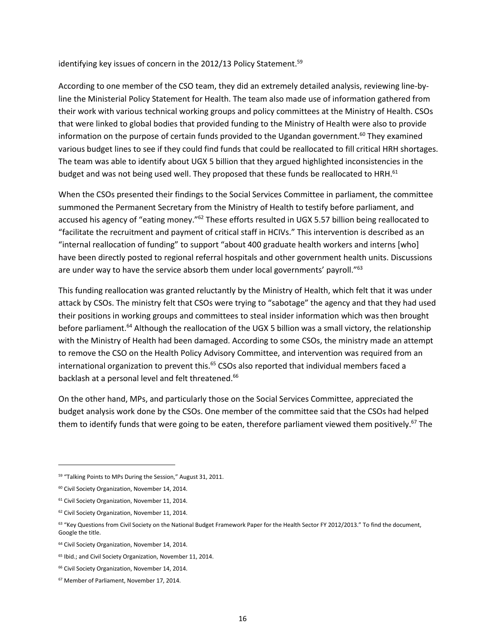identifying key issues of concern in the 2012/13 Policy Statement.<sup>59</sup>

According to one member of the CSO team, they did an extremely detailed analysis, reviewing line-byline the Ministerial Policy Statement for Health. The team also made use of information gathered from their work with various technical working groups and policy committees at the Ministry of Health. CSOs that were linked to global bodies that provided funding to the Ministry of Health were also to provide information on the purpose of certain funds provided to the Ugandan government.<sup>60</sup> They examined various budget lines to see if they could find funds that could be reallocated to fill critical HRH shortages. The team was able to identify about UGX 5 billion that they argued highlighted inconsistencies in the budget and was not being used well. They proposed that these funds be reallocated to HRH.<sup>61</sup>

When the CSOs presented their findings to the Social Services Committee in parliament, the committee summoned the Permanent Secretary from the Ministry of Health to testify before parliament, and accused his agency of "eating money."<sup>62</sup> These efforts resulted in UGX 5.57 billion being reallocated to "facilitate the recruitment and payment of critical staff in HCIVs." This intervention is described as an "internal reallocation of funding" to support "about 400 graduate health workers and interns [who] have been directly posted to regional referral hospitals and other government health units. Discussions are under way to have the service absorb them under local governments' payroll."<sup>63</sup>

This funding reallocation was granted reluctantly by the Ministry of Health, which felt that it was under attack by CSOs. The ministry felt that CSOs were trying to "sabotage" the agency and that they had used their positions in working groups and committees to steal insider information which was then brought before parliament.<sup>64</sup> Although the reallocation of the UGX 5 billion was a small victory, the relationship with the Ministry of Health had been damaged. According to some CSOs, the ministry made an attempt to remove the CSO on the Health Policy Advisory Committee, and intervention was required from an international organization to prevent this.<sup>65</sup> CSOs also reported that individual members faced a backlash at a personal level and felt threatened.<sup>66</sup>

On the other hand, MPs, and particularly those on the Social Services Committee, appreciated the budget analysis work done by the CSOs. One member of the committee said that the CSOs had helped them to identify funds that were going to be eaten, therefore parliament viewed them positively.<sup>67</sup> The

<sup>59</sup> "Talking Points to MPs During the Session," August 31, 2011.

<sup>60</sup> Civil Society Organization, November 14, 2014.

<sup>&</sup>lt;sup>61</sup> Civil Society Organization, November 11, 2014.

<sup>&</sup>lt;sup>62</sup> Civil Society Organization, November 11, 2014.

<sup>&</sup>lt;sup>63</sup> "Key Questions from Civil Society on the National Budget Framework Paper for the Health Sector FY 2012/2013." To find the document, Google the title.

<sup>&</sup>lt;sup>64</sup> Civil Society Organization, November 14, 2014.

<sup>65</sup> Ibid.; and Civil Society Organization, November 11, 2014.

<sup>&</sup>lt;sup>66</sup> Civil Society Organization, November 14, 2014.

<sup>67</sup> Member of Parliament, November 17, 2014.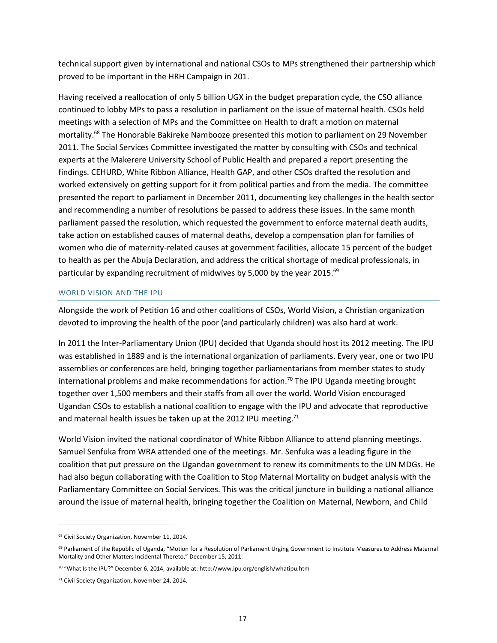technical support given by international and national CSOs to MPs strengthened their partnership which proved to be important in the HRH Campaign in 201.

Having received a reallocation of only 5 billion UGX in the budget preparation cycle, the CSO alliance continued to lobby MPs to pass a resolution in parliament on the issue of maternal health. CSOs held meetings with a selection of MPs and the Committee on Health to draft a motion on maternal mortality.<sup>68</sup> The Honorable Bakireke Nambooze presented this motion to parliament on 29 November 2011. The Social Services Committee investigated the matter by consulting with CSOs and technical experts at the Makerere University School of Public Health and prepared a report presenting the findings. CEHURD, White Ribbon Alliance, Health GAP, and other CSOs drafted the resolution and worked extensively on getting support for it from political parties and from the media. The committee presented the report to parliament in December 2011, documenting key challenges in the health sector and recommending a number of resolutions be passed to address these issues. In the same month parliament passed the resolution, which requested the government to enforce maternal death audits, take action on established causes of maternal deaths, develop a compensation plan for families of women who die of maternity-related causes at government facilities, allocate 15 percent of the budget to health as per the Abuja Declaration, and address the critical shortage of medical professionals, in particular by expanding recruitment of midwives by 5,000 by the year 2015.<sup>69</sup>

#### WORLD VISION AND THE IPU

Alongside the work of Petition 16 and other coalitions of CSOs, World Vision, a Christian organization devoted to improving the health of the poor (and particularly children) was also hard at work.

In 2011 the Inter-Parliamentary Union (IPU) decided that Uganda should host its 2012 meeting. The IPU was established in 1889 and is the international organization of parliaments. Every year, one or two IPU assemblies or conferences are held, bringing together parliamentarians from member states to study international problems and make recommendations for action.<sup>70</sup> The IPU Uganda meeting brought together over 1,500 members and their staffs from all over the world. World Vision encouraged Ugandan CSOs to establish a national coalition to engage with the IPU and advocate that reproductive and maternal health issues be taken up at the 2012 IPU meeting.<sup>71</sup>

World Vision invited the national coordinator of White Ribbon Alliance to attend planning meetings. Samuel Senfuka from WRA attended one of the meetings. Mr. Senfuka was a leading figure in the coalition that put pressure on the Ugandan government to renew its commitments to the UN MDGs. He had also begun collaborating with the Coalition to Stop Maternal Mortality on budget analysis with the Parliamentary Committee on Social Services. This was the critical juncture in building a national alliance around the issue of maternal health, bringing together the Coalition on Maternal, Newborn, and Child

<sup>&</sup>lt;sup>68</sup> Civil Society Organization, November 11, 2014.

<sup>69</sup> Parliament of the Republic of Uganda, "Motion for a Resolution of Parliament Urging Government to Institute Measures to Address Maternal Mortality and Other Matters Incidental Thereto," December 15, 2011.

<sup>&</sup>lt;sup>70</sup> "What Is the IPU?" December 6, 2014, available at: http://www.ipu.org/english/whatipu.htm

<sup>71</sup> Civil Society Organization, November 24, 2014.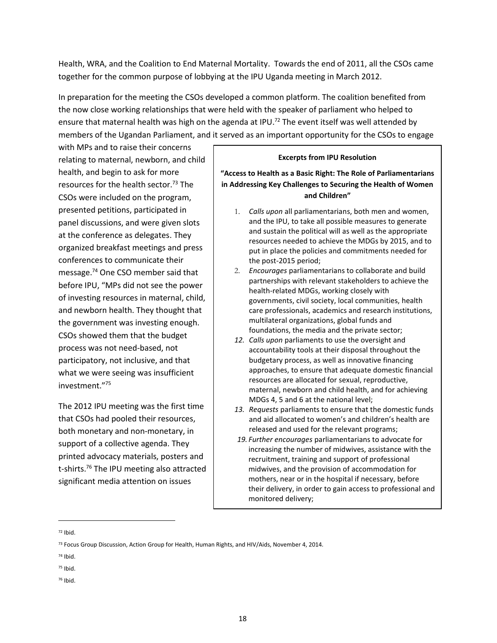Health, WRA, and the Coalition to End Maternal Mortality. Towards the end of 2011, all the CSOs came together for the common purpose of lobbying at the IPU Uganda meeting in March 2012.

In preparation for the meeting the CSOs developed a common platform. The coalition benefited from the now close working relationships that were held with the speaker of parliament who helped to ensure that maternal health was high on the agenda at IPU.<sup>72</sup> The event itself was well attended by members of the Ugandan Parliament, and it served as an important opportunity for the CSOs to engage

with MPs and to raise their concerns relating to maternal, newborn, and child health, and begin to ask for more resources for the health sector.<sup>73</sup> The CSOs were included on the program, presented petitions, participated in panel discussions, and were given slots at the conference as delegates. They organized breakfast meetings and press conferences to communicate their message.<sup>74</sup> One CSO member said that before IPU, "MPs did not see the power of investing resources in maternal, child, and newborn health. They thought that the government was investing enough. CSOs showed them that the budget process was not need-based, not participatory, not inclusive, and that what we were seeing was insufficient investment."<sup>75</sup>

The 2012 IPU meeting was the first time that CSOs had pooled their resources, both monetary and non-monetary, in support of a collective agenda. They printed advocacy materials, posters and t-shirts.<sup>76</sup> The IPU meeting also attracted significant media attention on issues

#### **Excerpts from IPU Resolution**

## **"Access to Health as a Basic Right: The Role of Parliamentarians in Addressing Key Challenges to Securing the Health of Women and Children"**

- 1. *Calls upon* all parliamentarians, both men and women, and the IPU, to take all possible measures to generate and sustain the political will as well as the appropriate resources needed to achieve the MDGs by 2015, and to put in place the policies and commitments needed for the post-2015 period;
- 2. *Encourages* parliamentarians to collaborate and build partnerships with relevant stakeholders to achieve the health-related MDGs, working closely with governments, civil society, local communities, health care professionals, academics and research institutions, multilateral organizations, global funds and foundations, the media and the private sector;
- *12. Calls upon* parliaments to use the oversight and accountability tools at their disposal throughout the budgetary process, as well as innovative financing approaches, to ensure that adequate domestic financial resources are allocated for sexual, reproductive, maternal, newborn and child health, and for achieving MDGs 4, 5 and 6 at the national level;
- *13. Requests* parliaments to ensure that the domestic funds and aid allocated to women's and children's health are released and used for the relevant programs;
- *19. Further encourages* parliamentarians to advocate for increasing the number of midwives, assistance with the recruitment, training and support of professional midwives, and the provision of accommodation for mothers, near or in the hospital if necessary, before their delivery, in order to gain access to professional and monitored delivery;

<sup>72</sup> Ibid.

- <sup>75</sup> Ibid.
- <sup>76</sup> Ibid.

<sup>&</sup>lt;sup>73</sup> Focus Group Discussion, Action Group for Health, Human Rights, and HIV/Aids, November 4, 2014.

<sup>74</sup> Ibid.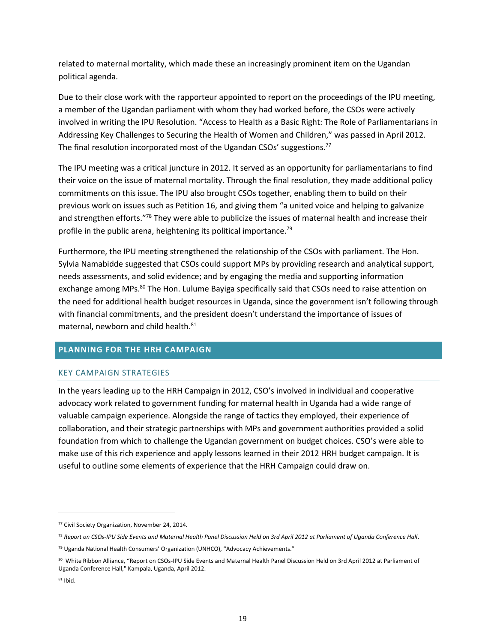related to maternal mortality, which made these an increasingly prominent item on the Ugandan political agenda.

Due to their close work with the rapporteur appointed to report on the proceedings of the IPU meeting, a member of the Ugandan parliament with whom they had worked before, the CSOs were actively involved in writing the IPU Resolution. "Access to Health as a Basic Right: The Role of Parliamentarians in Addressing Key Challenges to Securing the Health of Women and Children," was passed in April 2012. The final resolution incorporated most of the Ugandan CSOs' suggestions.<sup>77</sup>

The IPU meeting was a critical juncture in 2012. It served as an opportunity for parliamentarians to find their voice on the issue of maternal mortality. Through the final resolution, they made additional policy commitments on this issue. The IPU also brought CSOs together, enabling them to build on their previous work on issues such as Petition 16, and giving them "a united voice and helping to galvanize and strengthen efforts."<sup>78</sup> They were able to publicize the issues of maternal health and increase their profile in the public arena, heightening its political importance.<sup>79</sup>

Furthermore, the IPU meeting strengthened the relationship of the CSOs with parliament. The Hon. Sylvia Namabidde suggested that CSOs could support MPs by providing research and analytical support, needs assessments, and solid evidence; and by engaging the media and supporting information exchange among MPs.<sup>80</sup> The Hon. Lulume Bayiga specifically said that CSOs need to raise attention on the need for additional health budget resources in Uganda, since the government isn't following through with financial commitments, and the president doesn't understand the importance of issues of maternal, newborn and child health.<sup>81</sup>

# **PLANNING FOR THE HRH CAMPAIGN**

## KEY CAMPAIGN STRATEGIES

In the years leading up to the HRH Campaign in 2012, CSO's involved in individual and cooperative advocacy work related to government funding for maternal health in Uganda had a wide range of valuable campaign experience. Alongside the range of tactics they employed, their experience of collaboration, and their strategic partnerships with MPs and government authorities provided a solid foundation from which to challenge the Ugandan government on budget choices. CSO's were able to make use of this rich experience and apply lessons learned in their 2012 HRH budget campaign. It is useful to outline some elements of experience that the HRH Campaign could draw on.

<sup>77</sup> Civil Society Organization, November 24, 2014.

<sup>78</sup> *Report on CSOs-IPU Side Events and Maternal Health Panel Discussion Held on 3rd April 2012 at Parliament of Uganda Conference Hall*.

<sup>79</sup> Uganda National Health Consumers' Organization (UNHCO), "Advocacy Achievements."

<sup>80</sup> White Ribbon Alliance, "Report on CSOs-IPU Side Events and Maternal Health Panel Discussion Held on 3rd April 2012 at Parliament of Uganda Conference Hall," Kampala, Uganda, April 2012.

<sup>81</sup> Ibid.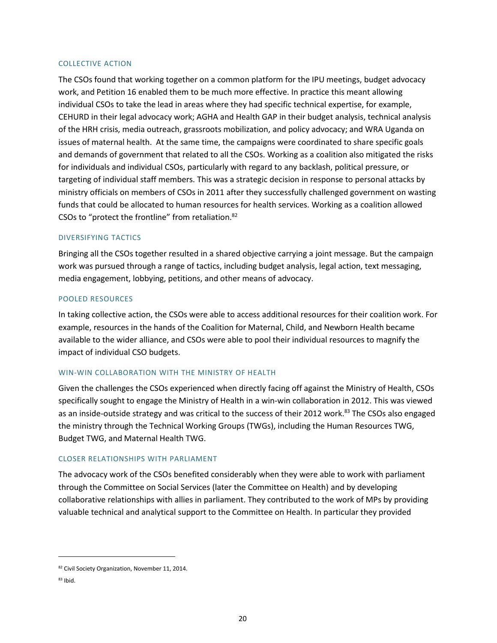#### COLLECTIVE ACTION

The CSOs found that working together on a common platform for the IPU meetings, budget advocacy work, and Petition 16 enabled them to be much more effective. In practice this meant allowing individual CSOs to take the lead in areas where they had specific technical expertise, for example, CEHURD in their legal advocacy work; AGHA and Health GAP in their budget analysis, technical analysis of the HRH crisis, media outreach, grassroots mobilization, and policy advocacy; and WRA Uganda on issues of maternal health. At the same time, the campaigns were coordinated to share specific goals and demands of government that related to all the CSOs. Working as a coalition also mitigated the risks for individuals and individual CSOs, particularly with regard to any backlash, political pressure, or targeting of individual staff members. This was a strategic decision in response to personal attacks by ministry officials on members of CSOs in 2011 after they successfully challenged government on wasting funds that could be allocated to human resources for health services. Working as a coalition allowed CSOs to "protect the frontline" from retaliation.<sup>82</sup>

#### DIVERSIFYING TACTICS

Bringing all the CSOs together resulted in a shared objective carrying a joint message. But the campaign work was pursued through a range of tactics, including budget analysis, legal action, text messaging, media engagement, lobbying, petitions, and other means of advocacy.

#### POOLED RESOURCES

In taking collective action, the CSOs were able to access additional resources for their coalition work. For example, resources in the hands of the Coalition for Maternal, Child, and Newborn Health became available to the wider alliance, and CSOs were able to pool their individual resources to magnify the impact of individual CSO budgets.

#### WIN-WIN COLLABORATION WITH THE MINISTRY OF HEALTH

Given the challenges the CSOs experienced when directly facing off against the Ministry of Health, CSOs specifically sought to engage the Ministry of Health in a win-win collaboration in 2012. This was viewed as an inside-outside strategy and was critical to the success of their 2012 work.<sup>83</sup> The CSOs also engaged the ministry through the Technical Working Groups (TWGs), including the Human Resources TWG, Budget TWG, and Maternal Health TWG.

#### CLOSER RELATIONSHIPS WITH PARLIAMENT

The advocacy work of the CSOs benefited considerably when they were able to work with parliament through the Committee on Social Services (later the Committee on Health) and by developing collaborative relationships with allies in parliament. They contributed to the work of MPs by providing valuable technical and analytical support to the Committee on Health. In particular they provided

<sup>82</sup> Civil Society Organization, November 11, 2014.

<sup>83</sup> Ibid.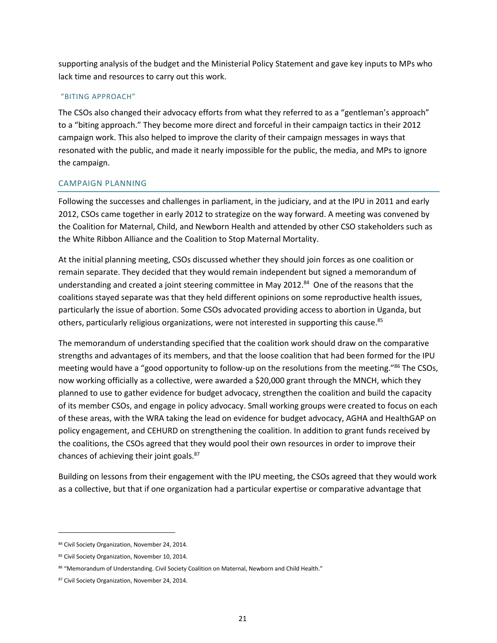supporting analysis of the budget and the Ministerial Policy Statement and gave key inputs to MPs who lack time and resources to carry out this work.

#### "BITING APPROACH"

The CSOs also changed their advocacy efforts from what they referred to as a "gentleman's approach" to a "biting approach." They become more direct and forceful in their campaign tactics in their 2012 campaign work. This also helped to improve the clarity of their campaign messages in ways that resonated with the public, and made it nearly impossible for the public, the media, and MPs to ignore the campaign.

## CAMPAIGN PLANNING

Following the successes and challenges in parliament, in the judiciary, and at the IPU in 2011 and early 2012, CSOs came together in early 2012 to strategize on the way forward. A meeting was convened by the Coalition for Maternal, Child, and Newborn Health and attended by other CSO stakeholders such as the White Ribbon Alliance and the Coalition to Stop Maternal Mortality.

At the initial planning meeting, CSOs discussed whether they should join forces as one coalition or remain separate. They decided that they would remain independent but signed a memorandum of understanding and created a joint steering committee in May 2012.<sup>84</sup> One of the reasons that the coalitions stayed separate was that they held different opinions on some reproductive health issues, particularly the issue of abortion. Some CSOs advocated providing access to abortion in Uganda, but others, particularly religious organizations, were not interested in supporting this cause.<sup>85</sup>

The memorandum of understanding specified that the coalition work should draw on the comparative strengths and advantages of its members, and that the loose coalition that had been formed for the IPU meeting would have a "good opportunity to follow-up on the resolutions from the meeting."<sup>86</sup> The CSOs, now working officially as a collective, were awarded a \$20,000 grant through the MNCH, which they planned to use to gather evidence for budget advocacy, strengthen the coalition and build the capacity of its member CSOs, and engage in policy advocacy. Small working groups were created to focus on each of these areas, with the WRA taking the lead on evidence for budget advocacy, AGHA and HealthGAP on policy engagement, and CEHURD on strengthening the coalition. In addition to grant funds received by the coalitions, the CSOs agreed that they would pool their own resources in order to improve their chances of achieving their joint goals.<sup>87</sup>

Building on lessons from their engagement with the IPU meeting, the CSOs agreed that they would work as a collective, but that if one organization had a particular expertise or comparative advantage that

<sup>84</sup> Civil Society Organization, November 24, 2014.

<sup>85</sup> Civil Society Organization, November 10, 2014.

<sup>86 &</sup>quot;Memorandum of Understanding. Civil Society Coalition on Maternal, Newborn and Child Health."

<sup>87</sup> Civil Society Organization, November 24, 2014.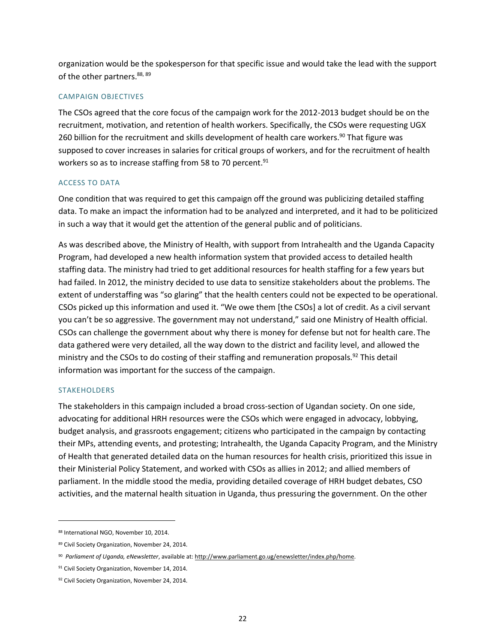organization would be the spokesperson for that specific issue and would take the lead with the support of the other partners.<sup>88, 89</sup>

## CAMPAIGN OBJECTIVES

The CSOs agreed that the core focus of the campaign work for the 2012-2013 budget should be on the recruitment, motivation, and retention of health workers. Specifically, the CSOs were requesting UGX 260 billion for the recruitment and skills development of health care workers.<sup>90</sup> That figure was supposed to cover increases in salaries for critical groups of workers, and for the recruitment of health workers so as to increase staffing from 58 to 70 percent.<sup>91</sup>

## ACCESS TO DATA

One condition that was required to get this campaign off the ground was publicizing detailed staffing data. To make an impact the information had to be analyzed and interpreted, and it had to be politicized in such a way that it would get the attention of the general public and of politicians.

As was described above, the Ministry of Health, with support from Intrahealth and the Uganda Capacity Program, had developed a new health information system that provided access to detailed health staffing data. The ministry had tried to get additional resources for health staffing for a few years but had failed. In 2012, the ministry decided to use data to sensitize stakeholders about the problems. The extent of understaffing was "so glaring" that the health centers could not be expected to be operational. CSOs picked up this information and used it. "We owe them [the CSOs] a lot of credit. As a civil servant you can't be so aggressive. The government may not understand," said one Ministry of Health official. CSOs can challenge the government about why there is money for defense but not for health care. The data gathered were very detailed, all the way down to the district and facility level, and allowed the ministry and the CSOs to do costing of their staffing and remuneration proposals.<sup>92</sup> This detail information was important for the success of the campaign.

#### STAKEHOLDERS

 $\overline{a}$ 

The stakeholders in this campaign included a broad cross-section of Ugandan society. On one side, advocating for additional HRH resources were the CSOs which were engaged in advocacy, lobbying, budget analysis, and grassroots engagement; citizens who participated in the campaign by contacting their MPs, attending events, and protesting; Intrahealth, the Uganda Capacity Program, and the Ministry of Health that generated detailed data on the human resources for health crisis, prioritized this issue in their Ministerial Policy Statement, and worked with CSOs as allies in 2012; and allied members of parliament. In the middle stood the media, providing detailed coverage of HRH budget debates, CSO activities, and the maternal health situation in Uganda, thus pressuring the government. On the other

<sup>88</sup> International NGO, November 10, 2014.

<sup>89</sup> Civil Society Organization, November 24, 2014.

<sup>90</sup> *Parliament of Uganda, eNewsletter*, available at[: http://www.parliament.go.ug/enewsletter/index.php/home.](http://www.parliament.go.ug/enewsletter/index.php/home) 

<sup>&</sup>lt;sup>91</sup> Civil Society Organization, November 14, 2014.

<sup>92</sup> Civil Society Organization, November 24, 2014.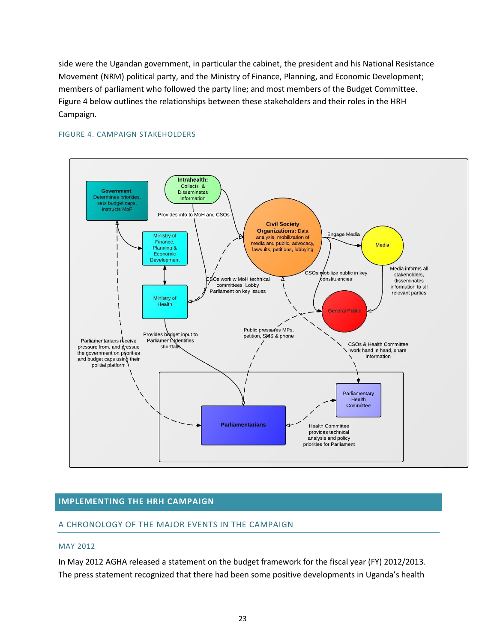side were the Ugandan government, in particular the cabinet, the president and his National Resistance Movement (NRM) political party, and the Ministry of Finance, Planning, and Economic Development; members of parliament who followed the party line; and most members of the Budget Committee. Figure 4 below outlines the relationships between these stakeholders and their roles in the HRH Campaign.



## FIGURE 4. CAMPAIGN STAKEHOLDERS

## **IMPLEMENTING THE HRH CAMPAIGN**

## A CHRONOLOGY OF THE MAJOR EVENTS IN THE CAMPAIGN

#### MAY 2012

In May 2012 AGHA released a statement on the budget framework for the fiscal year (FY) 2012/2013. The press statement recognized that there had been some positive developments in Uganda's health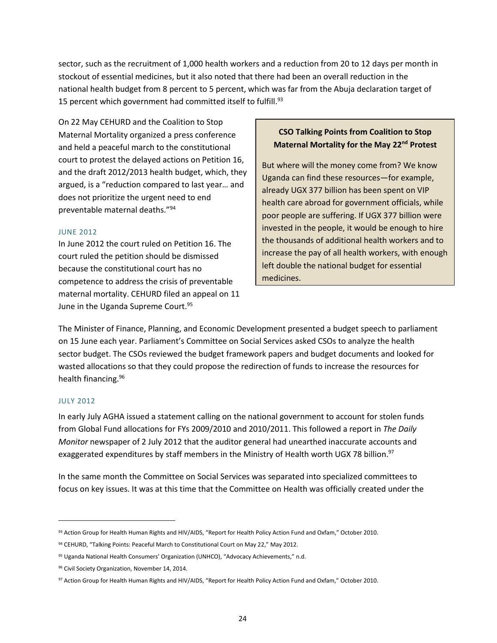sector, such as the recruitment of 1,000 health workers and a reduction from 20 to 12 days per month in stockout of essential medicines, but it also noted that there had been an overall reduction in the national health budget from 8 percent to 5 percent, which was far from the Abuja declaration target of 15 percent which government had committed itself to fulfill.<sup>93</sup>

On 22 May CEHURD and the Coalition to Stop Maternal Mortality organized a press conference and held a peaceful march to the constitutional court to protest the delayed actions on Petition 16, and the draft 2012/2013 health budget, which, they argued, is a "reduction compared to last year… and does not prioritize the urgent need to end preventable maternal deaths."<sup>94</sup>

#### JUNE 2012

In June 2012 the court ruled on Petition 16. The court ruled the petition should be dismissed because the constitutional court has no competence to address the crisis of preventable maternal mortality. CEHURD filed an appeal on 11 June in the Uganda Supreme Court.<sup>95</sup>

# **CSO Talking Points from Coalition to Stop Maternal Mortality for the May 22nd Protest**

But where will the money come from? We know Uganda can find these resources—for example, already UGX 377 billion has been spent on VIP health care abroad for government officials, while poor people are suffering. If UGX 377 billion were invested in the people, it would be enough to hire the thousands of additional health workers and to increase the pay of all health workers, with enough left double the national budget for essential medicines.

The Minister of Finance, Planning, and Economic Development presented a budget speech to parliament on 15 June each year. Parliament's Committee on Social Services asked CSOs to analyze the health sector budget. The CSOs reviewed the budget framework papers and budget documents and looked for wasted allocations so that they could propose the redirection of funds to increase the resources for health financing.<sup>96</sup>

#### JULY 2012

 $\overline{a}$ 

In early July AGHA issued a statement calling on the national government to account for stolen funds from Global Fund allocations for FYs 2009/2010 and 2010/2011. This followed a report in *The Daily Monitor* newspaper of 2 July 2012 that the auditor general had unearthed inaccurate accounts and exaggerated expenditures by staff members in the Ministry of Health worth UGX 78 billion.<sup>97</sup>

In the same month the Committee on Social Services was separated into specialized committees to focus on key issues. It was at this time that the Committee on Health was officially created under the

<sup>93</sup> Action Group for Health Human Rights and HIV/AIDS, "Report for Health Policy Action Fund and Oxfam," October 2010.

<sup>94</sup> CEHURD, "Talking Points: Peaceful March to Constitutional Court on May 22," May 2012.

<sup>95</sup> Uganda National Health Consumers' Organization (UNHCO), "Advocacy Achievements," n.d.

<sup>96</sup> Civil Society Organization, November 14, 2014.

<sup>97</sup> Action Group for Health Human Rights and HIV/AIDS, "Report for Health Policy Action Fund and Oxfam," October 2010.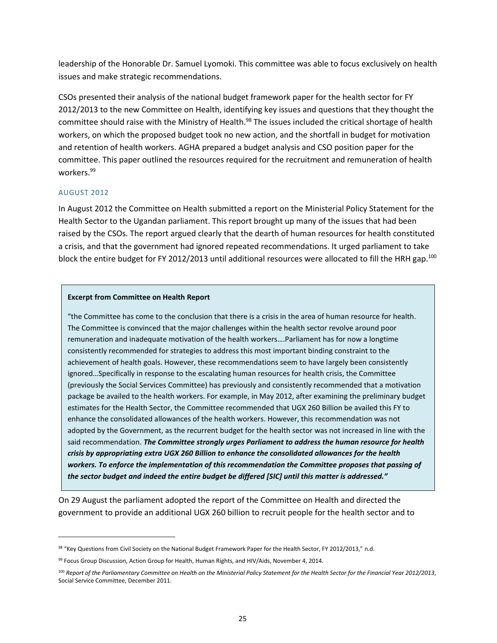leadership of the Honorable Dr. Samuel Lyomoki. This committee was able to focus exclusively on health issues and make strategic recommendations.

CSOs presented their analysis of the national budget framework paper for the health sector for FY 2012/2013 to the new Committee on Health, identifying key issues and questions that they thought the committee should raise with the Ministry of Health.<sup>98</sup> The issues included the critical shortage of health workers, on which the proposed budget took no new action, and the shortfall in budget for motivation and retention of health workers. AGHA prepared a budget analysis and CSO position paper for the committee. This paper outlined the resources required for the recruitment and remuneration of health workers.<sup>99</sup>

## AUGUST 2012

 $\overline{a}$ 

In August 2012 the Committee on Health submitted a report on the Ministerial Policy Statement for the Health Sector to the Ugandan parliament. This report brought up many of the issues that had been raised by the CSOs. The report argued clearly that the dearth of human resources for health constituted a crisis, and that the government had ignored repeated recommendations. It urged parliament to take block the entire budget for FY 2012/2013 until additional resources were allocated to fill the HRH gap.<sup>100</sup>

#### **Excerpt from Committee on Health Report**

"the Committee has come to the conclusion that there is a crisis in the area of human resource for health. The Committee is convinced that the major challenges within the health sector revolve around poor remuneration and inadequate motivation of the health workers….Parliament has for now a longtime consistently recommended for strategies to address this most important binding constraint to the achievement of health goals. However, these recommendations seem to have largely been consistently ignored…Specifically in response to the escalating human resources for health crisis, the Committee (previously the Social Services Committee) has previously and consistently recommended that a motivation package be availed to the health workers. For example, in May 2012, after examining the preliminary budget estimates for the Health Sector, the Committee recommended that UGX 260 Billion be availed this FY to enhance the consolidated allowances of the health workers. However, this recommendation was not adopted by the Government, as the recurrent budget for the health sector was not increased in line with the said recommendation. *The Committee strongly urges Parliament to address the human resource for health crisis by appropriating extra UGX 260 Billion to enhance the consolidated allowances for the health workers. To enforce the implementation of this recommendation the Committee proposes that passing of the sector budget and indeed the entire budget be differed [SIC] until this matter is addressed."*

On 29 August the parliament adopted the report of the Committee on Health and directed the government to provide an additional UGX 260 billion to recruit people for the health sector and to

<sup>98 &</sup>quot;Key Questions from Civil Society on the National Budget Framework Paper for the Health Sector, FY 2012/2013," n.d.

<sup>99</sup> Focus Group Discussion, Action Group for Health, Human Rights, and HIV/Aids, November 4, 2014.

<sup>100</sup> *Report of the Parliamentary Committee on Health on the Ministerial Policy Statement for the Health Sector for the Financial Year 2012/2013*, Social Service Committee, December 2011.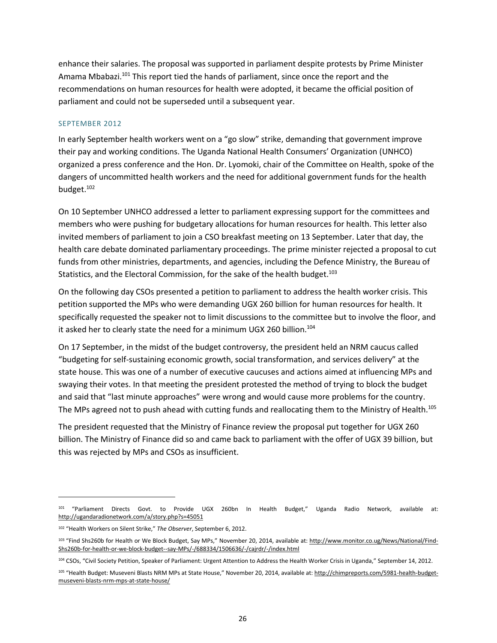enhance their salaries. The proposal was supported in parliament despite protests by Prime Minister Amama Mbabazi.<sup>101</sup> This report tied the hands of parliament, since once the report and the recommendations on human resources for health were adopted, it became the official position of parliament and could not be superseded until a subsequent year.

#### SEPTEMBER 2012

In early September health workers went on a "go slow" strike, demanding that government improve their pay and working conditions. The Uganda National Health Consumers' Organization (UNHCO) organized a press conference and the Hon. Dr. Lyomoki, chair of the Committee on Health, spoke of the dangers of uncommitted health workers and the need for additional government funds for the health budget.<sup>102</sup>

On 10 September UNHCO addressed a letter to parliament expressing support for the committees and members who were pushing for budgetary allocations for human resources for health. This letter also invited members of parliament to join a CSO breakfast meeting on 13 September. Later that day, the health care debate dominated parliamentary proceedings. The prime minister rejected a proposal to cut funds from other ministries, departments, and agencies, including the Defence Ministry, the Bureau of Statistics, and the Electoral Commission, for the sake of the health budget.<sup>103</sup>

On the following day CSOs presented a petition to parliament to address the health worker crisis. This petition supported the MPs who were demanding UGX 260 billion for human resources for health. It specifically requested the speaker not to limit discussions to the committee but to involve the floor, and it asked her to clearly state the need for a minimum UGX 260 billion.<sup>104</sup>

On 17 September, in the midst of the budget controversy, the president held an NRM caucus called "budgeting for self-sustaining economic growth, social transformation, and services delivery" at the state house. This was one of a number of executive caucuses and actions aimed at influencing MPs and swaying their votes. In that meeting the president protested the method of trying to block the budget and said that "last minute approaches" were wrong and would cause more problems for the country. The MPs agreed not to push ahead with cutting funds and reallocating them to the Ministry of Health.<sup>105</sup>

The president requested that the Ministry of Finance review the proposal put together for UGX 260 billion. The Ministry of Finance did so and came back to parliament with the offer of UGX 39 billion, but this was rejected by MPs and CSOs as insufficient.

<sup>&</sup>lt;sup>101</sup> "Parliament Directs Govt. to Provide UGX 260bn In Health Budget," Uganda Radio Network, available at: <http://ugandaradionetwork.com/a/story.php?s=45051>

<sup>102</sup> "Health Workers on Silent Strike," *The Observer*, September 6, 2012.

<sup>&</sup>lt;sup>103</sup> "Find Shs260b for Health or We Block Budget, Say MPs," November 20, 2014, available at[: http://www.monitor.co.ug/News/National/Find-](http://www.monitor.co.ug/News/National/Find-Shs260b-for-health-or-we-block-budget--say-MPs/-/688334/1506636/-/cajrdr/-/index.html)[Shs260b-for-health-or-we-block-budget--say-MPs/-/688334/1506636/-/cajrdr/-/index.html](http://www.monitor.co.ug/News/National/Find-Shs260b-for-health-or-we-block-budget--say-MPs/-/688334/1506636/-/cajrdr/-/index.html) 

<sup>104</sup> CSOs, "Civil Society Petition, Speaker of Parliament: Urgent Attention to Address the Health Worker Crisis in Uganda," September 14, 2012.

<sup>105 &</sup>quot;Health Budget: Museveni Blasts NRM MPs at State House," November 20, 2014, available at: [http://chimpreports.com/5981-health-budget](http://chimpreports.com/5981-health-budget-museveni-blasts-nrm-mps-at-state-house/)[museveni-blasts-nrm-mps-at-state-house/](http://chimpreports.com/5981-health-budget-museveni-blasts-nrm-mps-at-state-house/)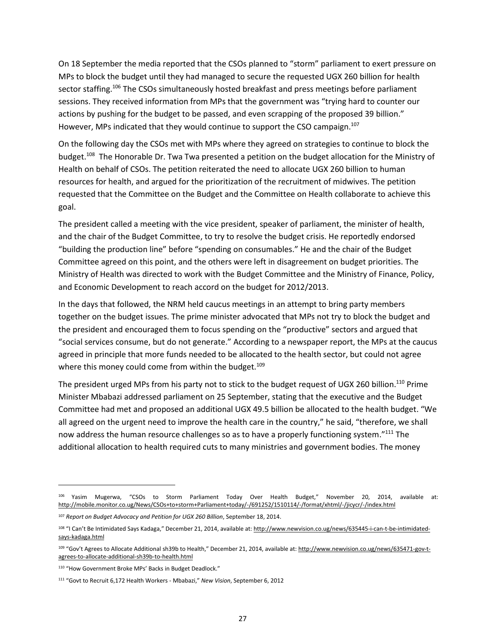On 18 September the media reported that the CSOs planned to "storm" parliament to exert pressure on MPs to block the budget until they had managed to secure the requested UGX 260 billion for health sector staffing.<sup>106</sup> The CSOs simultaneously hosted breakfast and press meetings before parliament sessions. They received information from MPs that the government was "trying hard to counter our actions by pushing for the budget to be passed, and even scrapping of the proposed 39 billion." However, MPs indicated that they would continue to support the CSO campaign.<sup>107</sup>

On the following day the CSOs met with MPs where they agreed on strategies to continue to block the budget.<sup>108</sup> The Honorable Dr. Twa Twa presented a petition on the budget allocation for the Ministry of Health on behalf of CSOs. The petition reiterated the need to allocate UGX 260 billion to human resources for health, and argued for the prioritization of the recruitment of midwives. The petition requested that the Committee on the Budget and the Committee on Health collaborate to achieve this goal.

The president called a meeting with the vice president, speaker of parliament, the minister of health, and the chair of the Budget Committee, to try to resolve the budget crisis. He reportedly endorsed "building the production line" before "spending on consumables." He and the chair of the Budget Committee agreed on this point, and the others were left in disagreement on budget priorities. The Ministry of Health was directed to work with the Budget Committee and the Ministry of Finance, Policy, and Economic Development to reach accord on the budget for 2012/2013.

In the days that followed, the NRM held caucus meetings in an attempt to bring party members together on the budget issues. The prime minister advocated that MPs not try to block the budget and the president and encouraged them to focus spending on the "productive" sectors and argued that "social services consume, but do not generate." According to a newspaper report, the MPs at the caucus agreed in principle that more funds needed to be allocated to the health sector, but could not agree where this money could come from within the budget.<sup>109</sup>

The president urged MPs from his party not to stick to the budget request of UGX 260 billion.<sup>110</sup> Prime Minister Mbabazi addressed parliament on 25 September, stating that the executive and the Budget Committee had met and proposed an additional UGX 49.5 billion be allocated to the health budget. "We all agreed on the urgent need to improve the health care in the country," he said, "therefore, we shall now address the human resource challenges so as to have a properly functioning system."<sup>111</sup> The additional allocation to health required cuts to many ministries and government bodies. The money

<sup>106</sup> Yasim Mugerwa, "CSOs to Storm Parliament Today Over Health Budget," November 20, 2014, available at: <http://mobile.monitor.co.ug/News/CSOs+to+storm+Parliament+today/-/691252/1510114/-/format/xhtml/-/jicycr/-/index.html>

<sup>107</sup> *Report on Budget Advocacy and Petition for UGX 260 Billion*, September 18, 2014.

<sup>&</sup>lt;sup>108</sup> "I Can't Be Intimidated Says Kadaga," December 21, 2014, available at: [http://www.newvision.co.ug/news/635445-i-can-t-be-intimidated](http://www.newvision.co.ug/news/635445-i-can-t-be-intimidated-says-kadaga.html)[says-kadaga.html](http://www.newvision.co.ug/news/635445-i-can-t-be-intimidated-says-kadaga.html) 

<sup>109</sup> "Gov't Agrees to Allocate Additional sh39b to Health," December 21, 2014, available at: [http://www.newvision.co.ug/news/635471-gov-t](http://www.newvision.co.ug/news/635471-gov-t-agrees-to-allocate-additional-sh39b-to-health.html)[agrees-to-allocate-additional-sh39b-to-health.html](http://www.newvision.co.ug/news/635471-gov-t-agrees-to-allocate-additional-sh39b-to-health.html) 

<sup>110</sup> "How Government Broke MPs' Backs in Budget Deadlock."

<sup>111</sup> "Govt to Recruit 6,172 Health Workers - Mbabazi," *New Vision*, September 6, 2012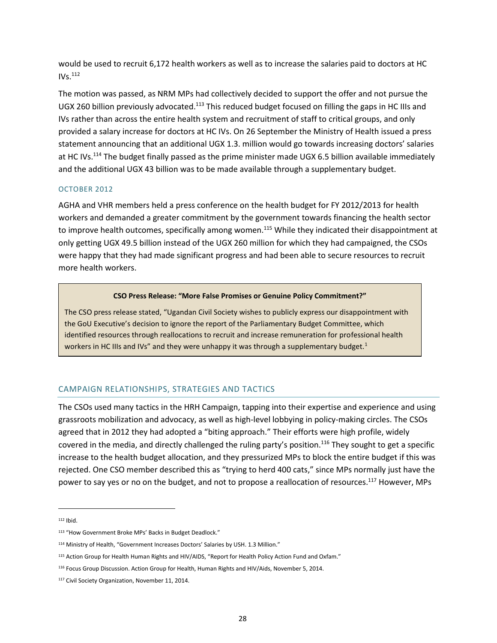would be used to recruit 6,172 health workers as well as to increase the salaries paid to doctors at HC  $IVs.<sup>112</sup>$ 

The motion was passed, as NRM MPs had collectively decided to support the offer and not pursue the UGX 260 billion previously advocated.<sup>113</sup> This reduced budget focused on filling the gaps in HC IIIs and IVs rather than across the entire health system and recruitment of staff to critical groups, and only provided a salary increase for doctors at HC IVs. On 26 September the Ministry of Health issued a press statement announcing that an additional UGX 1.3. million would go towards increasing doctors' salaries at HC IVs.<sup>114</sup> The budget finally passed as the prime minister made UGX 6.5 billion available immediately and the additional UGX 43 billion was to be made available through a supplementary budget.

## OCTOBER 2012

AGHA and VHR members held a press conference on the health budget for FY 2012/2013 for health workers and demanded a greater commitment by the government towards financing the health sector to improve health outcomes, specifically among women.<sup>115</sup> While they indicated their disappointment at only getting UGX 49.5 billion instead of the UGX 260 million for which they had campaigned, the CSOs were happy that they had made significant progress and had been able to secure resources to recruit more health workers.

#### **CSO Press Release: "More False Promises or Genuine Policy Commitment?"**

The CSO press release stated, "Ugandan Civil Society wishes to publicly express our disappointment with the GoU Executive's decision to ignore the report of the Parliamentary Budget Committee, which identified resources through reallocations to recruit and increase remuneration for professional health workers in HC IIIs and IVs" and they were unhappy it was through a supplementary budget.<sup>1</sup>

## CAMPAIGN RELATIONSHIPS, STRATEGIES AND TACTICS

The CSOs used many tactics in the HRH Campaign, tapping into their expertise and experience and using grassroots mobilization and advocacy, as well as high-level lobbying in policy-making circles. The CSOs agreed that in 2012 they had adopted a "biting approach." Their efforts were high profile, widely covered in the media, and directly challenged the ruling party's position.<sup>116</sup> They sought to get a specific increase to the health budget allocation, and they pressurized MPs to block the entire budget if this was rejected. One CSO member described this as "trying to herd 400 cats," since MPs normally just have the power to say yes or no on the budget, and not to propose a reallocation of resources.<sup>117</sup> However, MPs

 $112$  Ibid.

<sup>113</sup> "How Government Broke MPs' Backs in Budget Deadlock."

<sup>114</sup> Ministry of Health, "Government Increases Doctors' Salaries by USH. 1.3 Million."

<sup>115</sup> Action Group for Health Human Rights and HIV/AIDS, "Report for Health Policy Action Fund and Oxfam."

<sup>&</sup>lt;sup>116</sup> Focus Group Discussion. Action Group for Health, Human Rights and HIV/Aids, November 5, 2014.

<sup>117</sup> Civil Society Organization, November 11, 2014.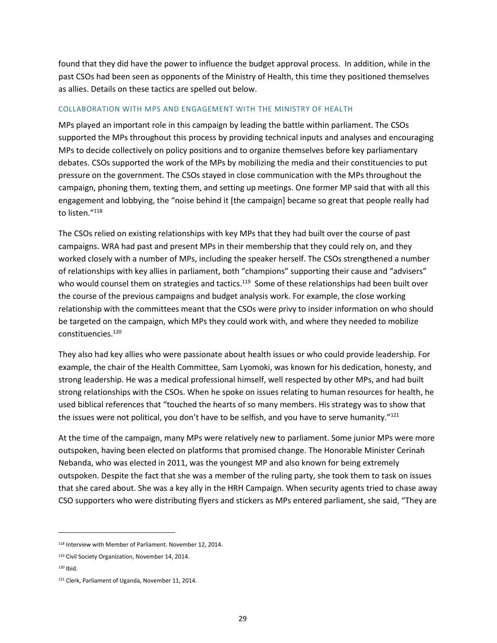found that they did have the power to influence the budget approval process. In addition, while in the past CSOs had been seen as opponents of the Ministry of Health, this time they positioned themselves as allies. Details on these tactics are spelled out below.

#### COLLABORATION WITH MPS AND ENGAGEMENT WITH THE MINISTRY OF HEALTH

MPs played an important role in this campaign by leading the battle within parliament. The CSOs supported the MPs throughout this process by providing technical inputs and analyses and encouraging MPs to decide collectively on policy positions and to organize themselves before key parliamentary debates. CSOs supported the work of the MPs by mobilizing the media and their constituencies to put pressure on the government. The CSOs stayed in close communication with the MPs throughout the campaign, phoning them, texting them, and setting up meetings. One former MP said that with all this engagement and lobbying, the "noise behind it [the campaign] became so great that people really had to listen."<sup>118</sup>

The CSOs relied on existing relationships with key MPs that they had built over the course of past campaigns. WRA had past and present MPs in their membership that they could rely on, and they worked closely with a number of MPs, including the speaker herself. The CSOs strengthened a number of relationships with key allies in parliament, both "champions" supporting their cause and "advisers" who would counsel them on strategies and tactics.<sup>119</sup> Some of these relationships had been built over the course of the previous campaigns and budget analysis work. For example, the close working relationship with the committees meant that the CSOs were privy to insider information on who should be targeted on the campaign, which MPs they could work with, and where they needed to mobilize constituencies.<sup>120</sup>

They also had key allies who were passionate about health issues or who could provide leadership. For example, the chair of the Health Committee, Sam Lyomoki, was known for his dedication, honesty, and strong leadership. He was a medical professional himself, well respected by other MPs, and had built strong relationships with the CSOs. When he spoke on issues relating to human resources for health, he used biblical references that "touched the hearts of so many members. His strategy was to show that the issues were not political, you don't have to be selfish, and you have to serve humanity."<sup>121</sup>

At the time of the campaign, many MPs were relatively new to parliament. Some junior MPs were more outspoken, having been elected on platforms that promised change. The Honorable Minister Cerinah Nebanda, who was elected in 2011, was the youngest MP and also known for being extremely outspoken. Despite the fact that she was a member of the ruling party, she took them to task on issues that she cared about. She was a key ally in the HRH Campaign. When security agents tried to chase away CSO supporters who were distributing flyers and stickers as MPs entered parliament, she said, "They are

<sup>118</sup> Interview with Member of Parliament. November 12, 2014.

<sup>&</sup>lt;sup>119</sup> Civil Society Organization, November 14, 2014.

 $120$  Ibid.

<sup>121</sup> Clerk, Parliament of Uganda, November 11, 2014.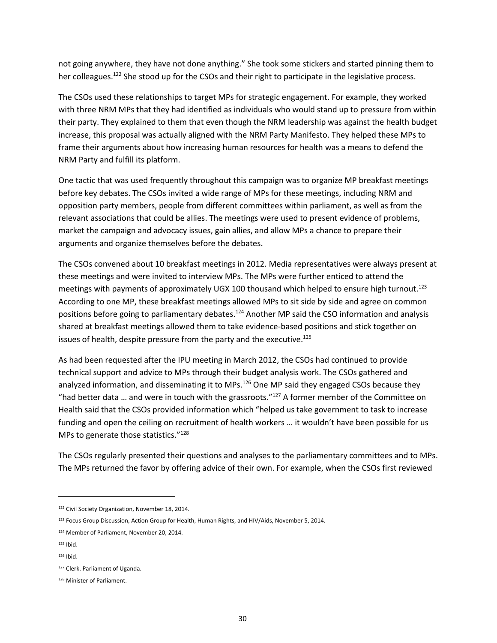not going anywhere, they have not done anything." She took some stickers and started pinning them to her colleagues.<sup>122</sup> She stood up for the CSOs and their right to participate in the legislative process.

The CSOs used these relationships to target MPs for strategic engagement. For example, they worked with three NRM MPs that they had identified as individuals who would stand up to pressure from within their party. They explained to them that even though the NRM leadership was against the health budget increase, this proposal was actually aligned with the NRM Party Manifesto. They helped these MPs to frame their arguments about how increasing human resources for health was a means to defend the NRM Party and fulfill its platform.

One tactic that was used frequently throughout this campaign was to organize MP breakfast meetings before key debates. The CSOs invited a wide range of MPs for these meetings, including NRM and opposition party members, people from different committees within parliament, as well as from the relevant associations that could be allies. The meetings were used to present evidence of problems, market the campaign and advocacy issues, gain allies, and allow MPs a chance to prepare their arguments and organize themselves before the debates.

The CSOs convened about 10 breakfast meetings in 2012. Media representatives were always present at these meetings and were invited to interview MPs. The MPs were further enticed to attend the meetings with payments of approximately UGX 100 thousand which helped to ensure high turnout.<sup>123</sup> According to one MP, these breakfast meetings allowed MPs to sit side by side and agree on common positions before going to parliamentary debates.<sup>124</sup> Another MP said the CSO information and analysis shared at breakfast meetings allowed them to take evidence-based positions and stick together on issues of health, despite pressure from the party and the executive.<sup>125</sup>

As had been requested after the IPU meeting in March 2012, the CSOs had continued to provide technical support and advice to MPs through their budget analysis work. The CSOs gathered and analyzed information, and disseminating it to MPs.<sup>126</sup> One MP said they engaged CSOs because they "had better data ... and were in touch with the grassroots."<sup>127</sup> A former member of the Committee on Health said that the CSOs provided information which "helped us take government to task to increase funding and open the ceiling on recruitment of health workers … it wouldn't have been possible for us MPs to generate those statistics."<sup>128</sup>

The CSOs regularly presented their questions and analyses to the parliamentary committees and to MPs. The MPs returned the favor by offering advice of their own. For example, when the CSOs first reviewed

<sup>122</sup> Civil Society Organization, November 18, 2014.

<sup>&</sup>lt;sup>123</sup> Focus Group Discussion, Action Group for Health, Human Rights, and HIV/Aids, November 5, 2014.

<sup>124</sup> Member of Parliament, November 20, 2014.

<sup>125</sup> Ibid.

 $126$  Ibid.

<sup>127</sup> Clerk. Parliament of Uganda.

<sup>128</sup> Minister of Parliament.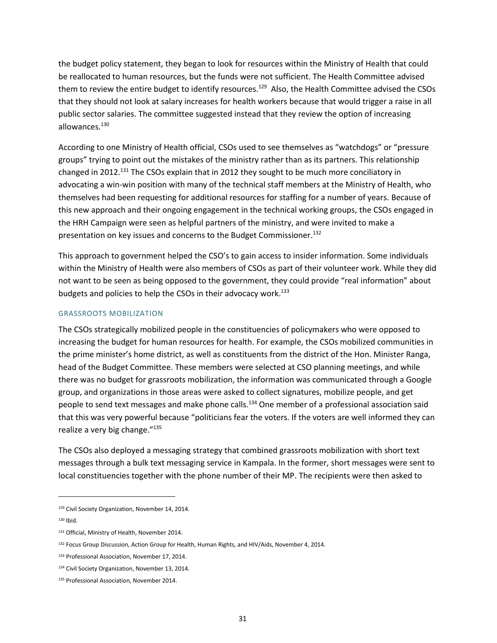the budget policy statement, they began to look for resources within the Ministry of Health that could be reallocated to human resources, but the funds were not sufficient. The Health Committee advised them to review the entire budget to identify resources.<sup>129</sup> Also, the Health Committee advised the CSOs that they should not look at salary increases for health workers because that would trigger a raise in all public sector salaries. The committee suggested instead that they review the option of increasing allowances.<sup>130</sup>

According to one Ministry of Health official, CSOs used to see themselves as "watchdogs" or "pressure groups" trying to point out the mistakes of the ministry rather than as its partners. This relationship changed in 2012.<sup>131</sup> The CSOs explain that in 2012 they sought to be much more conciliatory in advocating a win-win position with many of the technical staff members at the Ministry of Health, who themselves had been requesting for additional resources for staffing for a number of years. Because of this new approach and their ongoing engagement in the technical working groups, the CSOs engaged in the HRH Campaign were seen as helpful partners of the ministry, and were invited to make a presentation on key issues and concerns to the Budget Commissioner.<sup>132</sup>

This approach to government helped the CSO's to gain access to insider information. Some individuals within the Ministry of Health were also members of CSOs as part of their volunteer work. While they did not want to be seen as being opposed to the government, they could provide "real information" about budgets and policies to help the CSOs in their advocacy work.<sup>133</sup>

#### GRASSROOTS MOBILIZATION

The CSOs strategically mobilized people in the constituencies of policymakers who were opposed to increasing the budget for human resources for health. For example, the CSOs mobilized communities in the prime minister's home district, as well as constituents from the district of the Hon. Minister Ranga, head of the Budget Committee. These members were selected at CSO planning meetings, and while there was no budget for grassroots mobilization, the information was communicated through a Google group, and organizations in those areas were asked to collect signatures, mobilize people, and get people to send text messages and make phone calls.<sup>134</sup> One member of a professional association said that this was very powerful because "politicians fear the voters. If the voters are well informed they can realize a very big change."<sup>135</sup>

The CSOs also deployed a messaging strategy that combined grassroots mobilization with short text messages through a bulk text messaging service in Kampala. In the former, short messages were sent to local constituencies together with the phone number of their MP. The recipients were then asked to

<sup>129</sup> Civil Society Organization, November 14, 2014.

 $130$  Ibid.

<sup>131</sup> Official, Ministry of Health, November 2014.

<sup>&</sup>lt;sup>132</sup> Focus Group Discussion, Action Group for Health, Human Rights, and HIV/Aids, November 4, 2014.

<sup>133</sup> Professional Association, November 17, 2014.

<sup>134</sup> Civil Society Organization, November 13, 2014.

<sup>135</sup> Professional Association, November 2014.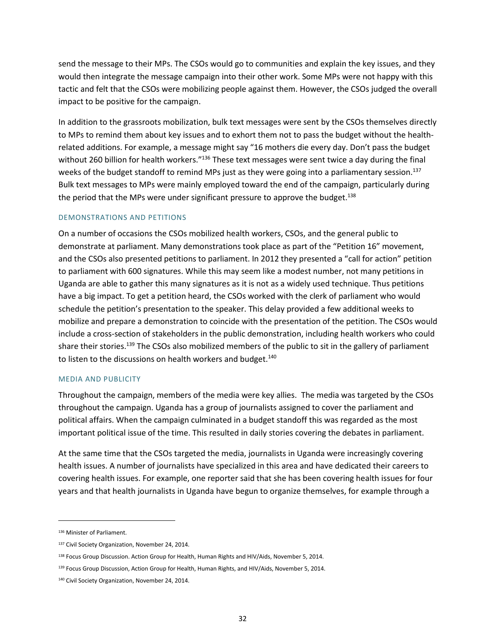send the message to their MPs. The CSOs would go to communities and explain the key issues, and they would then integrate the message campaign into their other work. Some MPs were not happy with this tactic and felt that the CSOs were mobilizing people against them. However, the CSOs judged the overall impact to be positive for the campaign.

In addition to the grassroots mobilization, bulk text messages were sent by the CSOs themselves directly to MPs to remind them about key issues and to exhort them not to pass the budget without the healthrelated additions. For example, a message might say "16 mothers die every day. Don't pass the budget without 260 billion for health workers."<sup>136</sup> These text messages were sent twice a day during the final weeks of the budget standoff to remind MPs just as they were going into a parliamentary session.<sup>137</sup> Bulk text messages to MPs were mainly employed toward the end of the campaign, particularly during the period that the MPs were under significant pressure to approve the budget.<sup>138</sup>

#### DEMONSTRATIONS AND PETITIONS

On a number of occasions the CSOs mobilized health workers, CSOs, and the general public to demonstrate at parliament. Many demonstrations took place as part of the "Petition 16" movement, and the CSOs also presented petitions to parliament. In 2012 they presented a "call for action" petition to parliament with 600 signatures. While this may seem like a modest number, not many petitions in Uganda are able to gather this many signatures as it is not as a widely used technique. Thus petitions have a big impact. To get a petition heard, the CSOs worked with the clerk of parliament who would schedule the petition's presentation to the speaker. This delay provided a few additional weeks to mobilize and prepare a demonstration to coincide with the presentation of the petition. The CSOs would include a cross-section of stakeholders in the public demonstration, including health workers who could share their stories.<sup>139</sup> The CSOs also mobilized members of the public to sit in the gallery of parliament to listen to the discussions on health workers and budget.<sup>140</sup>

#### MEDIA AND PUBLICITY

Throughout the campaign, members of the media were key allies. The media was targeted by the CSOs throughout the campaign. Uganda has a group of journalists assigned to cover the parliament and political affairs. When the campaign culminated in a budget standoff this was regarded as the most important political issue of the time. This resulted in daily stories covering the debates in parliament.

At the same time that the CSOs targeted the media, journalists in Uganda were increasingly covering health issues. A number of journalists have specialized in this area and have dedicated their careers to covering health issues. For example, one reporter said that she has been covering health issues for four years and that health journalists in Uganda have begun to organize themselves, for example through a

<sup>136</sup> Minister of Parliament.

<sup>137</sup> Civil Society Organization, November 24, 2014.

<sup>&</sup>lt;sup>138</sup> Focus Group Discussion. Action Group for Health, Human Rights and HIV/Aids, November 5, 2014.

<sup>&</sup>lt;sup>139</sup> Focus Group Discussion, Action Group for Health, Human Rights, and HIV/Aids, November 5, 2014.

<sup>140</sup> Civil Society Organization, November 24, 2014.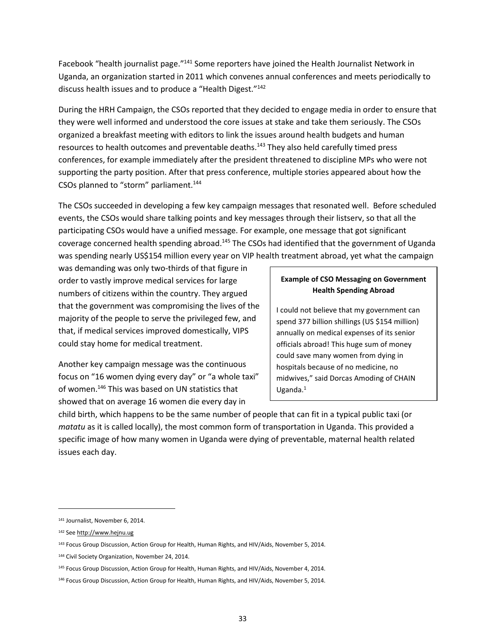Facebook "health journalist page."<sup>141</sup> Some reporters have joined the Health Journalist Network in Uganda, an organization started in 2011 which convenes annual conferences and meets periodically to discuss health issues and to produce a "Health Digest."<sup>142</sup>

During the HRH Campaign, the CSOs reported that they decided to engage media in order to ensure that they were well informed and understood the core issues at stake and take them seriously. The CSOs organized a breakfast meeting with editors to link the issues around health budgets and human resources to health outcomes and preventable deaths.<sup>143</sup> They also held carefully timed press conferences, for example immediately after the president threatened to discipline MPs who were not supporting the party position. After that press conference, multiple stories appeared about how the CSOs planned to "storm" parliament.<sup>144</sup>

The CSOs succeeded in developing a few key campaign messages that resonated well. Before scheduled events, the CSOs would share talking points and key messages through their listserv, so that all the participating CSOs would have a unified message. For example, one message that got significant coverage concerned health spending abroad.<sup>145</sup> The CSOs had identified that the government of Uganda was spending nearly US\$154 million every year on VIP health treatment abroad, yet what the campaign

was demanding was only two-thirds of that figure in order to vastly improve medical services for large numbers of citizens within the country. They argued that the government was compromising the lives of the majority of the people to serve the privileged few, and that, if medical services improved domestically, VIPS could stay home for medical treatment.

Another key campaign message was the continuous focus on "16 women dying every day" or "a whole taxi" of women.<sup>146</sup> This was based on UN statistics that showed that on average 16 women die every day in

# **Example of CSO Messaging on Government Health Spending Abroad**

I could not believe that my government can spend 377 billion shillings (US \$154 million) annually on medical expenses of its senior officials abroad! This huge sum of money could save many women from dying in hospitals because of no medicine, no midwives," said Dorcas Amoding of CHAIN Uganda. $1$ 

child birth, which happens to be the same number of people that can fit in a typical public taxi (or *matatu* as it is called locally), the most common form of transportation in Uganda. This provided a specific image of how many women in Uganda were dying of preventable, maternal health related issues each day.

<sup>141</sup> Journalist, November 6, 2014.

<sup>142</sup> Se[e http://www.hejnu.ug](http://www.hejnu.ug/) 

<sup>143</sup> Focus Group Discussion, Action Group for Health, Human Rights, and HIV/Aids, November 5, 2014.

<sup>144</sup> Civil Society Organization, November 24, 2014.

<sup>145</sup> Focus Group Discussion, Action Group for Health, Human Rights, and HIV/Aids, November 4, 2014.

<sup>146</sup> Focus Group Discussion, Action Group for Health, Human Rights, and HIV/Aids, November 5, 2014.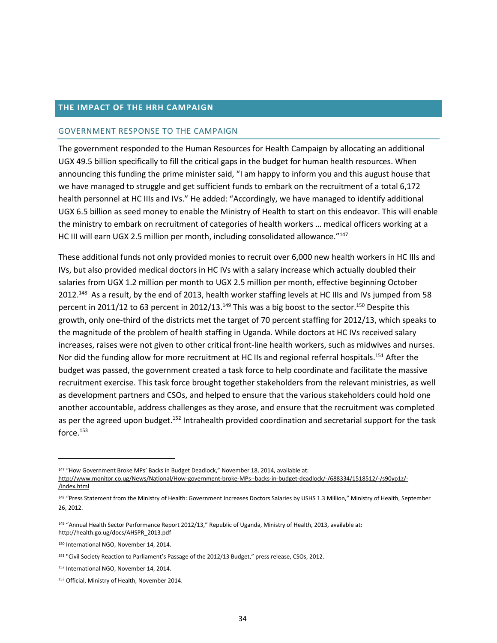## **THE IMPACT OF THE HRH CAMPAIGN**

#### GOVERNMENT RESPONSE TO THE CAMPAIGN

The government responded to the Human Resources for Health Campaign by allocating an additional UGX 49.5 billion specifically to fill the critical gaps in the budget for human health resources. When announcing this funding the prime minister said, "I am happy to inform you and this august house that we have managed to struggle and get sufficient funds to embark on the recruitment of a total 6,172 health personnel at HC IIIs and IVs." He added: "Accordingly, we have managed to identify additional UGX 6.5 billion as seed money to enable the Ministry of Health to start on this endeavor. This will enable the ministry to embark on recruitment of categories of health workers … medical officers working at a HC III will earn UGX 2.5 million per month, including consolidated allowance."<sup>147</sup>

These additional funds not only provided monies to recruit over 6,000 new health workers in HC IIIs and IVs, but also provided medical doctors in HC IVs with a salary increase which actually doubled their salaries from UGX 1.2 million per month to UGX 2.5 million per month, effective beginning October 2012.<sup>148</sup> As a result, by the end of 2013, health worker staffing levels at HC IIIs and IVs jumped from 58 percent in 2011/12 to 63 percent in 2012/13.<sup>149</sup> This was a big boost to the sector.<sup>150</sup> Despite this growth, only one-third of the districts met the target of 70 percent staffing for 2012/13, which speaks to the magnitude of the problem of health staffing in Uganda. While doctors at HC IVs received salary increases, raises were not given to other critical front-line health workers, such as midwives and nurses. Nor did the funding allow for more recruitment at HC IIs and regional referral hospitals.<sup>151</sup> After the budget was passed, the government created a task force to help coordinate and facilitate the massive recruitment exercise. This task force brought together stakeholders from the relevant ministries, as well as development partners and CSOs, and helped to ensure that the various stakeholders could hold one another accountable, address challenges as they arose, and ensure that the recruitment was completed as per the agreed upon budget.<sup>152</sup> Intrahealth provided coordination and secretarial support for the task force.<sup>153</sup>

<sup>147</sup> "How Government Broke MPs' Backs in Budget Deadlock," November 18, 2014, available at:

[http://www.monitor.co.ug/News/National/How-government-broke-MPs--backs-in-budget-deadlock/-/688334/1518512/-/s90yp1z/-](http://www.monitor.co.ug/News/National/How-government-broke-MPs--backs-in-budget-deadlock/-/688334/1518512/-/s90yp1z/-/index.html) [/index.html](http://www.monitor.co.ug/News/National/How-government-broke-MPs--backs-in-budget-deadlock/-/688334/1518512/-/s90yp1z/-/index.html) 

<sup>148 &</sup>quot;Press Statement from the Ministry of Health: Government Increases Doctors Salaries by USHS 1.3 Million," Ministry of Health, September 26, 2012.

<sup>&</sup>lt;sup>149</sup> "Annual Health Sector Performance Report 2012/13," Republic of Uganda, Ministry of Health, 2013, available at: [http://health.go.ug/docs/AHSPR\\_2013.pdf](http://health.go.ug/docs/AHSPR_2013.pdf) 

<sup>150</sup> International NGO, November 14, 2014.

<sup>151</sup> "Civil Society Reaction to Parliament's Passage of the 2012/13 Budget," press release, CSOs, 2012.

<sup>152</sup> International NGO, November 14, 2014.

<sup>153</sup> Official, Ministry of Health, November 2014.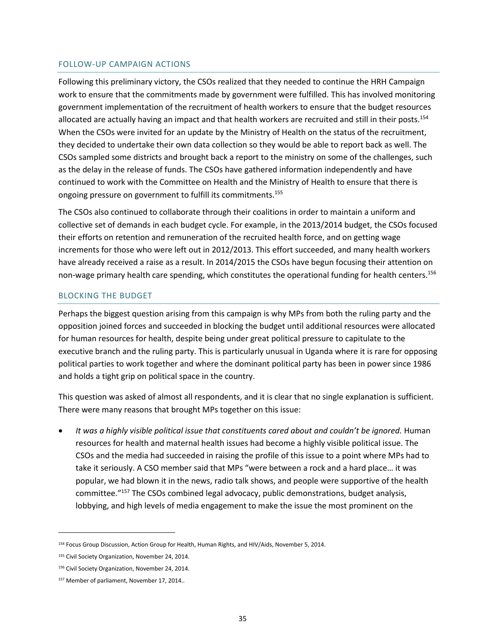## FOLLOW-UP CAMPAIGN ACTIONS

Following this preliminary victory, the CSOs realized that they needed to continue the HRH Campaign work to ensure that the commitments made by government were fulfilled. This has involved monitoring government implementation of the recruitment of health workers to ensure that the budget resources allocated are actually having an impact and that health workers are recruited and still in their posts.<sup>154</sup> When the CSOs were invited for an update by the Ministry of Health on the status of the recruitment, they decided to undertake their own data collection so they would be able to report back as well. The CSOs sampled some districts and brought back a report to the ministry on some of the challenges, such as the delay in the release of funds. The CSOs have gathered information independently and have continued to work with the Committee on Health and the Ministry of Health to ensure that there is ongoing pressure on government to fulfill its commitments.<sup>155</sup>

The CSOs also continued to collaborate through their coalitions in order to maintain a uniform and collective set of demands in each budget cycle. For example, in the 2013/2014 budget, the CSOs focused their efforts on retention and remuneration of the recruited health force, and on getting wage increments for those who were left out in 2012/2013. This effort succeeded, and many health workers have already received a raise as a result. In 2014/2015 the CSOs have begun focusing their attention on non-wage primary health care spending, which constitutes the operational funding for health centers.<sup>156</sup>

## BLOCKING THE BUDGET

Perhaps the biggest question arising from this campaign is why MPs from both the ruling party and the opposition joined forces and succeeded in blocking the budget until additional resources were allocated for human resources for health, despite being under great political pressure to capitulate to the executive branch and the ruling party. This is particularly unusual in Uganda where it is rare for opposing political parties to work together and where the dominant political party has been in power since 1986 and holds a tight grip on political space in the country.

This question was asked of almost all respondents, and it is clear that no single explanation is sufficient. There were many reasons that brought MPs together on this issue:

 *It was a highly visible political issue that constituents cared about and couldn't be ignored.* Human resources for health and maternal health issues had become a highly visible political issue. The CSOs and the media had succeeded in raising the profile of this issue to a point where MPs had to take it seriously. A CSO member said that MPs "were between a rock and a hard place… it was popular, we had blown it in the news, radio talk shows, and people were supportive of the health committee."<sup>157</sup> The CSOs combined legal advocacy, public demonstrations, budget analysis, lobbying, and high levels of media engagement to make the issue the most prominent on the

<sup>154</sup> Focus Group Discussion, Action Group for Health, Human Rights, and HIV/Aids, November 5, 2014.

<sup>155</sup> Civil Society Organization, November 24, 2014.

<sup>156</sup> Civil Society Organization, November 24, 2014.

<sup>157</sup> Member of parliament, November 17, 2014..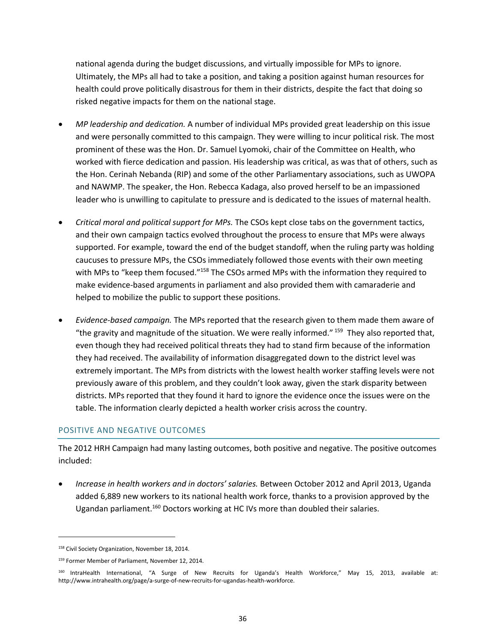national agenda during the budget discussions, and virtually impossible for MPs to ignore. Ultimately, the MPs all had to take a position, and taking a position against human resources for health could prove politically disastrous for them in their districts, despite the fact that doing so risked negative impacts for them on the national stage.

- *MP leadership and dedication.* A number of individual MPs provided great leadership on this issue and were personally committed to this campaign. They were willing to incur political risk. The most prominent of these was the Hon. Dr. Samuel Lyomoki, chair of the Committee on Health, who worked with fierce dedication and passion. His leadership was critical, as was that of others, such as the Hon. Cerinah Nebanda (RIP) and some of the other Parliamentary associations, such as UWOPA and NAWMP. The speaker, the Hon. Rebecca Kadaga, also proved herself to be an impassioned leader who is unwilling to capitulate to pressure and is dedicated to the issues of maternal health.
- *Critical moral and political support for MPs.* The CSOs kept close tabs on the government tactics, and their own campaign tactics evolved throughout the process to ensure that MPs were always supported. For example, toward the end of the budget standoff, when the ruling party was holding caucuses to pressure MPs, the CSOs immediately followed those events with their own meeting with MPs to "keep them focused."<sup>158</sup> The CSOs armed MPs with the information they required to make evidence-based arguments in parliament and also provided them with camaraderie and helped to mobilize the public to support these positions.
- *Evidence-based campaign.* The MPs reported that the research given to them made them aware of "the gravity and magnitude of the situation. We were really informed." <sup>159</sup> They also reported that, even though they had received political threats they had to stand firm because of the information they had received. The availability of information disaggregated down to the district level was extremely important. The MPs from districts with the lowest health worker staffing levels were not previously aware of this problem, and they couldn't look away, given the stark disparity between districts. MPs reported that they found it hard to ignore the evidence once the issues were on the table. The information clearly depicted a health worker crisis across the country.

# POSITIVE AND NEGATIVE OUTCOMES

The 2012 HRH Campaign had many lasting outcomes, both positive and negative. The positive outcomes included:

 *Increase in health workers and in doctors' salaries.* Between October 2012 and April 2013, Uganda added 6,889 new workers to its national health work force, thanks to a provision approved by the Ugandan parliament.<sup>160</sup> Doctors working at HC IVs more than doubled their salaries.

<sup>&</sup>lt;sup>158</sup> Civil Society Organization, November 18, 2014.

<sup>159</sup> Former Member of Parliament, November 12, 2014.

<sup>&</sup>lt;sup>160</sup> IntraHealth International, "A Surge of New Recruits for Uganda's Health Workforce," May 15, 2013, available at: http://www.intrahealth.org/page/a-surge-of-new-recruits-for-ugandas-health-workforce.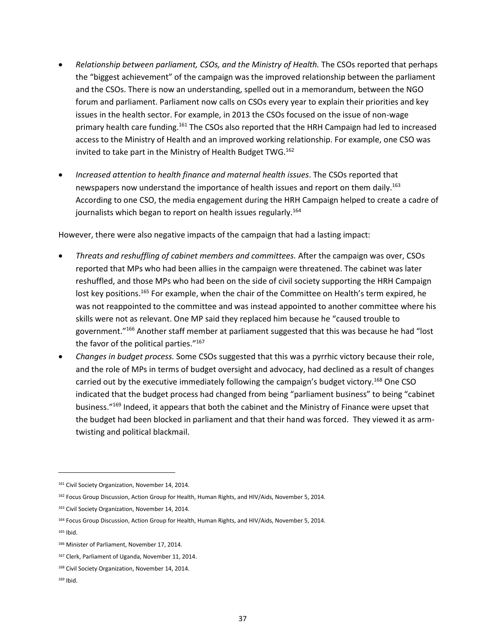- *Relationship between parliament, CSOs, and the Ministry of Health.* The CSOs reported that perhaps the "biggest achievement" of the campaign was the improved relationship between the parliament and the CSOs. There is now an understanding, spelled out in a memorandum, between the NGO forum and parliament. Parliament now calls on CSOs every year to explain their priorities and key issues in the health sector. For example, in 2013 the CSOs focused on the issue of non-wage primary health care funding.<sup>161</sup> The CSOs also reported that the HRH Campaign had led to increased access to the Ministry of Health and an improved working relationship. For example, one CSO was invited to take part in the Ministry of Health Budget TWG.<sup>162</sup>
- *Increased attention to health finance and maternal health issues*. The CSOs reported that newspapers now understand the importance of health issues and report on them daily.<sup>163</sup> According to one CSO, the media engagement during the HRH Campaign helped to create a cadre of journalists which began to report on health issues regularly.<sup>164</sup>

However, there were also negative impacts of the campaign that had a lasting impact:

- *Threats and reshuffling of cabinet members and committees.* After the campaign was over, CSOs reported that MPs who had been allies in the campaign were threatened. The cabinet was later reshuffled, and those MPs who had been on the side of civil society supporting the HRH Campaign lost key positions.<sup>165</sup> For example, when the chair of the Committee on Health's term expired, he was not reappointed to the committee and was instead appointed to another committee where his skills were not as relevant. One MP said they replaced him because he "caused trouble to government."<sup>166</sup> Another staff member at parliament suggested that this was because he had "lost the favor of the political parties."<sup>167</sup>
- *Changes in budget process.* Some CSOs suggested that this was a pyrrhic victory because their role, and the role of MPs in terms of budget oversight and advocacy, had declined as a result of changes carried out by the executive immediately following the campaign's budget victory.<sup>168</sup> One CSO indicated that the budget process had changed from being "parliament business" to being "cabinet business."<sup>169</sup> Indeed, it appears that both the cabinet and the Ministry of Finance were upset that the budget had been blocked in parliament and that their hand was forced. They viewed it as armtwisting and political blackmail.

<sup>&</sup>lt;sup>161</sup> Civil Society Organization, November 14, 2014.

<sup>&</sup>lt;sup>162</sup> Focus Group Discussion, Action Group for Health, Human Rights, and HIV/Aids, November 5, 2014.

<sup>163</sup> Civil Society Organization, November 14, 2014.

<sup>164</sup> Focus Group Discussion, Action Group for Health, Human Rights, and HIV/Aids, November 5, 2014.

<sup>165</sup> Ibid.

<sup>166</sup> Minister of Parliament, November 17, 2014.

<sup>167</sup> Clerk, Parliament of Uganda, November 11, 2014.

<sup>&</sup>lt;sup>168</sup> Civil Society Organization, November 14, 2014.

<sup>169</sup> Ibid.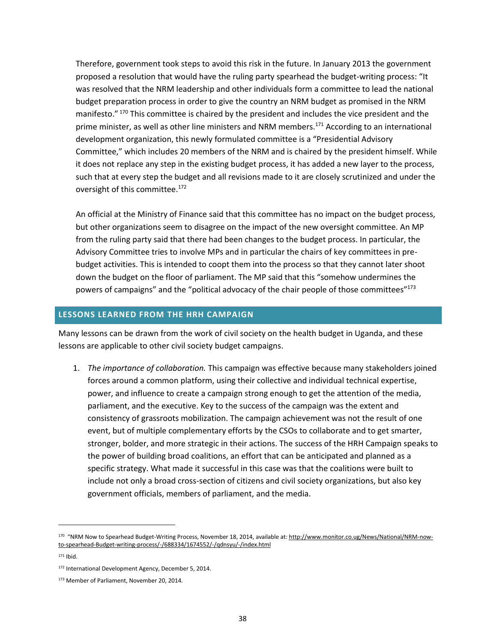Therefore, government took steps to avoid this risk in the future. In January 2013 the government proposed a resolution that would have the ruling party spearhead the budget-writing process: "It was resolved that the NRM leadership and other individuals form a committee to lead the national budget preparation process in order to give the country an NRM budget as promised in the NRM manifesto." 170 This committee is chaired by the president and includes the vice president and the prime minister, as well as other line ministers and NRM members.<sup>171</sup> According to an international development organization, this newly formulated committee is a "Presidential Advisory Committee," which includes 20 members of the NRM and is chaired by the president himself. While it does not replace any step in the existing budget process, it has added a new layer to the process, such that at every step the budget and all revisions made to it are closely scrutinized and under the oversight of this committee.<sup>172</sup>

An official at the Ministry of Finance said that this committee has no impact on the budget process, but other organizations seem to disagree on the impact of the new oversight committee. An MP from the ruling party said that there had been changes to the budget process. In particular, the Advisory Committee tries to involve MPs and in particular the chairs of key committees in prebudget activities. This is intended to coopt them into the process so that they cannot later shoot down the budget on the floor of parliament. The MP said that this "somehow undermines the powers of campaigns" and the "political advocacy of the chair people of those committees"<sup>173</sup>

## **LESSONS LEARNED FROM THE HRH CAMPAIGN**

Many lessons can be drawn from the work of civil society on the health budget in Uganda, and these lessons are applicable to other civil society budget campaigns.

1. *The importance of collaboration.* This campaign was effective because many stakeholders joined forces around a common platform, using their collective and individual technical expertise, power, and influence to create a campaign strong enough to get the attention of the media, parliament, and the executive. Key to the success of the campaign was the extent and consistency of grassroots mobilization. The campaign achievement was not the result of one event, but of multiple complementary efforts by the CSOs to collaborate and to get smarter, stronger, bolder, and more strategic in their actions. The success of the HRH Campaign speaks to the power of building broad coalitions, an effort that can be anticipated and planned as a specific strategy. What made it successful in this case was that the coalitions were built to include not only a broad cross-section of citizens and civil society organizations, but also key government officials, members of parliament, and the media.

<sup>&</sup>lt;sup>170</sup> "NRM Now to Spearhead Budget-Writing Process, November 18, 2014, available at: <u>http://www.monitor.co.ug/News/National/NRM-now-</u> [to-spearhead-Budget-writing-process/-/688334/1674552/-/qdnsyu/-/index.html](http://www.monitor.co.ug/News/National/NRM-now-to-spearhead-Budget-writing-process/-/688334/1674552/-/qdnsyu/-/index.html) 

 $171$  Ibid.

<sup>172</sup> International Development Agency, December 5, 2014.

<sup>173</sup> Member of Parliament, November 20, 2014.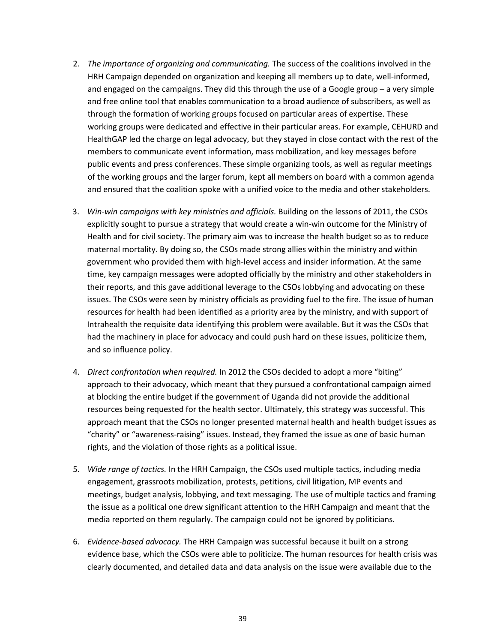- 2. *The importance of organizing and communicating.* The success of the coalitions involved in the HRH Campaign depended on organization and keeping all members up to date, well-informed, and engaged on the campaigns. They did this through the use of a Google group – a very simple and free online tool that enables communication to a broad audience of subscribers, as well as through the formation of working groups focused on particular areas of expertise. These working groups were dedicated and effective in their particular areas. For example, CEHURD and HealthGAP led the charge on legal advocacy, but they stayed in close contact with the rest of the members to communicate event information, mass mobilization, and key messages before public events and press conferences. These simple organizing tools, as well as regular meetings of the working groups and the larger forum, kept all members on board with a common agenda and ensured that the coalition spoke with a unified voice to the media and other stakeholders.
- 3. *Win-win campaigns with key ministries and officials.* Building on the lessons of 2011, the CSOs explicitly sought to pursue a strategy that would create a win-win outcome for the Ministry of Health and for civil society. The primary aim was to increase the health budget so as to reduce maternal mortality. By doing so, the CSOs made strong allies within the ministry and within government who provided them with high-level access and insider information. At the same time, key campaign messages were adopted officially by the ministry and other stakeholders in their reports, and this gave additional leverage to the CSOs lobbying and advocating on these issues. The CSOs were seen by ministry officials as providing fuel to the fire. The issue of human resources for health had been identified as a priority area by the ministry, and with support of Intrahealth the requisite data identifying this problem were available. But it was the CSOs that had the machinery in place for advocacy and could push hard on these issues, politicize them, and so influence policy.
- 4. *Direct confrontation when required.* In 2012 the CSOs decided to adopt a more "biting" approach to their advocacy, which meant that they pursued a confrontational campaign aimed at blocking the entire budget if the government of Uganda did not provide the additional resources being requested for the health sector. Ultimately, this strategy was successful. This approach meant that the CSOs no longer presented maternal health and health budget issues as "charity" or "awareness-raising" issues. Instead, they framed the issue as one of basic human rights, and the violation of those rights as a political issue.
- 5. *Wide range of tactics.* In the HRH Campaign, the CSOs used multiple tactics, including media engagement, grassroots mobilization, protests, petitions, civil litigation, MP events and meetings, budget analysis, lobbying, and text messaging. The use of multiple tactics and framing the issue as a political one drew significant attention to the HRH Campaign and meant that the media reported on them regularly. The campaign could not be ignored by politicians.
- 6. *Evidence-based advocacy.* The HRH Campaign was successful because it built on a strong evidence base, which the CSOs were able to politicize. The human resources for health crisis was clearly documented, and detailed data and data analysis on the issue were available due to the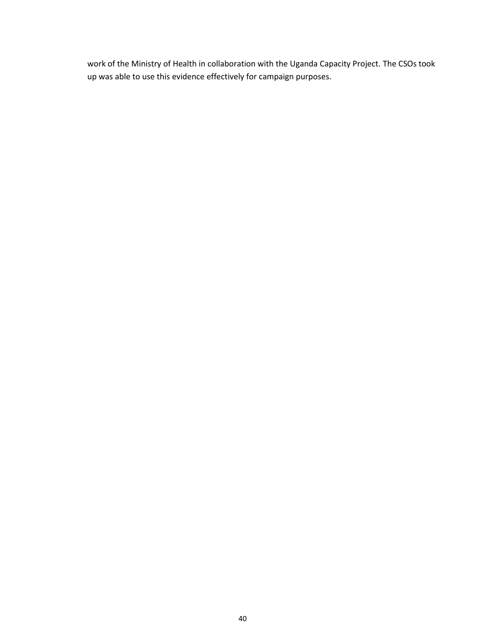work of the Ministry of Health in collaboration with the Uganda Capacity Project. The CSOs took up was able to use this evidence effectively for campaign purposes.